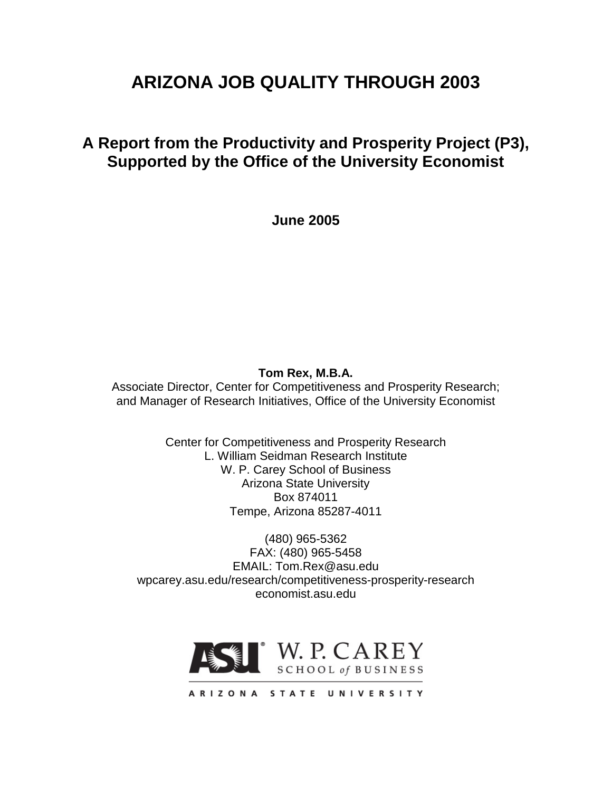# **ARIZONA JOB QUALITY THROUGH 2003**

# **A Report from the Productivity and Prosperity Project (P3), Supported by the Office of the University Economist**

**June 2005**

## **Tom Rex, M.B.A.**

Associate Director, Center for Competitiveness and Prosperity Research; and Manager of Research Initiatives, Office of the University Economist

> Center for Competitiveness and Prosperity Research L. William Seidman Research Institute W. P. Carey School of Business Arizona State University Box 874011 Tempe, Arizona 85287-4011

(480) 965-5362 FAX: (480) 965-5458 EMAIL: Tom.Rex@asu.edu wpcarey.asu.edu/research/competitiveness-prosperity-research economist.asu.edu

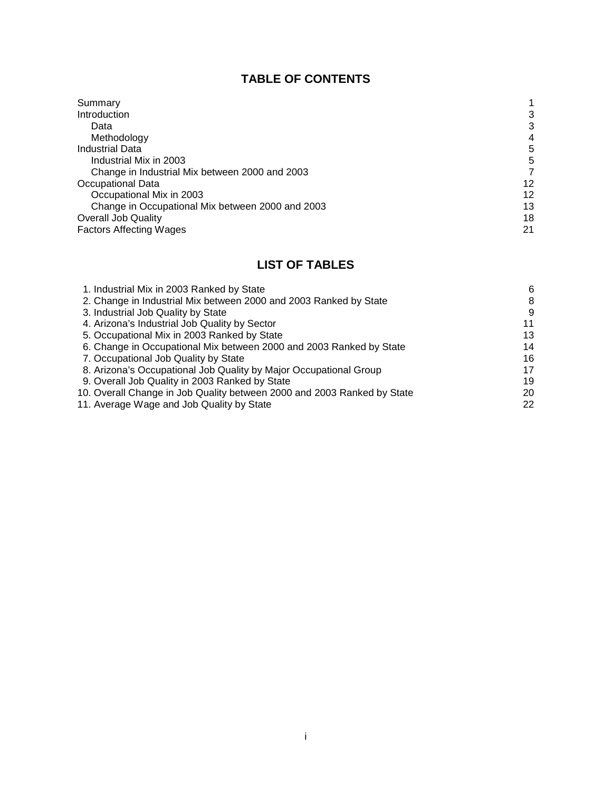# **TABLE OF CONTENTS**

| Summary                                          |    |
|--------------------------------------------------|----|
| Introduction                                     | 3  |
| Data                                             | 3  |
| Methodology                                      | 4  |
| <b>Industrial Data</b>                           | 5  |
| Industrial Mix in 2003                           | 5  |
| Change in Industrial Mix between 2000 and 2003   |    |
| Occupational Data                                | 12 |
| Occupational Mix in 2003                         | 12 |
| Change in Occupational Mix between 2000 and 2003 | 13 |
| <b>Overall Job Quality</b>                       | 18 |
| <b>Factors Affecting Wages</b>                   | 21 |

# **LIST OF TABLES**

| 6  |
|----|
| 8  |
| 9  |
| 11 |
| 13 |
| 14 |
| 16 |
| 17 |
| 19 |
| 20 |
| 22 |
|    |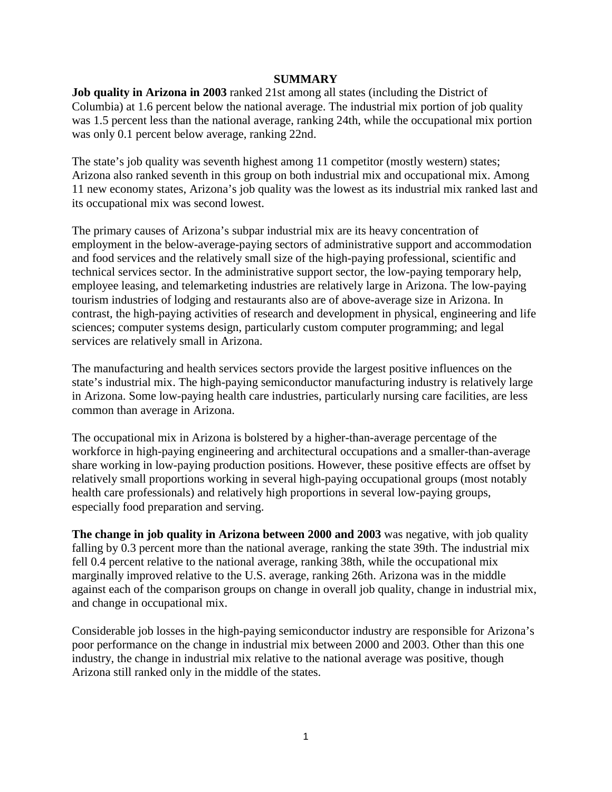#### **SUMMARY**

**Job quality in Arizona in 2003** ranked 21st among all states (including the District of Columbia) at 1.6 percent below the national average. The industrial mix portion of job quality was 1.5 percent less than the national average, ranking 24th, while the occupational mix portion was only 0.1 percent below average, ranking 22nd.

The state's job quality was seventh highest among 11 competitor (mostly western) states; Arizona also ranked seventh in this group on both industrial mix and occupational mix. Among 11 new economy states, Arizona's job quality was the lowest as its industrial mix ranked last and its occupational mix was second lowest.

The primary causes of Arizona's subpar industrial mix are its heavy concentration of employment in the below-average-paying sectors of administrative support and accommodation and food services and the relatively small size of the high-paying professional, scientific and technical services sector. In the administrative support sector, the low-paying temporary help, employee leasing, and telemarketing industries are relatively large in Arizona. The low-paying tourism industries of lodging and restaurants also are of above-average size in Arizona. In contrast, the high-paying activities of research and development in physical, engineering and life sciences; computer systems design, particularly custom computer programming; and legal services are relatively small in Arizona.

The manufacturing and health services sectors provide the largest positive influences on the state's industrial mix. The high-paying semiconductor manufacturing industry is relatively large in Arizona. Some low-paying health care industries, particularly nursing care facilities, are less common than average in Arizona.

The occupational mix in Arizona is bolstered by a higher-than-average percentage of the workforce in high-paying engineering and architectural occupations and a smaller-than-average share working in low-paying production positions. However, these positive effects are offset by relatively small proportions working in several high-paying occupational groups (most notably health care professionals) and relatively high proportions in several low-paying groups, especially food preparation and serving.

**The change in job quality in Arizona between 2000 and 2003** was negative, with job quality falling by 0.3 percent more than the national average, ranking the state 39th. The industrial mix fell 0.4 percent relative to the national average, ranking 38th, while the occupational mix marginally improved relative to the U.S. average, ranking 26th. Arizona was in the middle against each of the comparison groups on change in overall job quality, change in industrial mix, and change in occupational mix.

Considerable job losses in the high-paying semiconductor industry are responsible for Arizona's poor performance on the change in industrial mix between 2000 and 2003. Other than this one industry, the change in industrial mix relative to the national average was positive, though Arizona still ranked only in the middle of the states.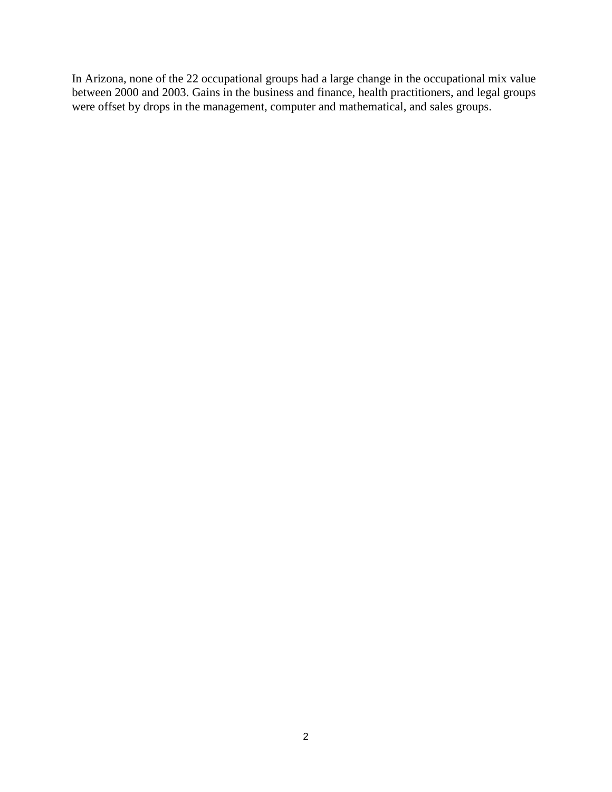In Arizona, none of the 22 occupational groups had a large change in the occupational mix value between 2000 and 2003. Gains in the business and finance, health practitioners, and legal groups were offset by drops in the management, computer and mathematical, and sales groups.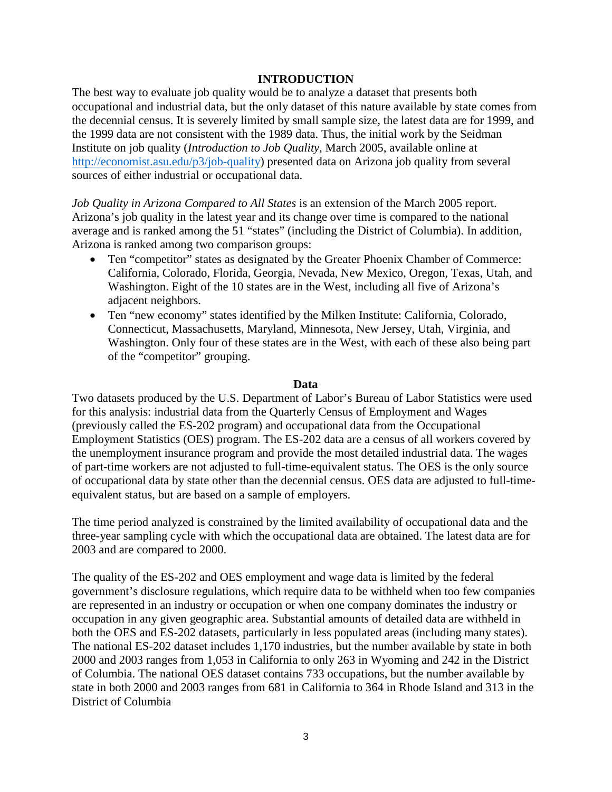#### **INTRODUCTION**

The best way to evaluate job quality would be to analyze a dataset that presents both occupational and industrial data, but the only dataset of this nature available by state comes from the decennial census. It is severely limited by small sample size, the latest data are for 1999, and the 1999 data are not consistent with the 1989 data. Thus, the initial work by the Seidman Institute on job quality (*Introduction to Job Quality*, March 2005, available online at [http://economist.asu.edu/p3/job-quality\)](http://economist.asu.edu/p3/job-quality) presented data on Arizona job quality from several sources of either industrial or occupational data.

*Job Quality in Arizona Compared to All States* is an extension of the March 2005 report. Arizona's job quality in the latest year and its change over time is compared to the national average and is ranked among the 51 "states" (including the District of Columbia). In addition, Arizona is ranked among two comparison groups:

- Ten "competitor" states as designated by the Greater Phoenix Chamber of Commerce: California, Colorado, Florida, Georgia, Nevada, New Mexico, Oregon, Texas, Utah, and Washington. Eight of the 10 states are in the West, including all five of Arizona's adjacent neighbors.
- Ten "new economy" states identified by the Milken Institute: California, Colorado, Connecticut, Massachusetts, Maryland, Minnesota, New Jersey, Utah, Virginia, and Washington. Only four of these states are in the West, with each of these also being part of the "competitor" grouping.

#### **Data**

Two datasets produced by the U.S. Department of Labor's Bureau of Labor Statistics were used for this analysis: industrial data from the Quarterly Census of Employment and Wages (previously called the ES-202 program) and occupational data from the Occupational Employment Statistics (OES) program. The ES-202 data are a census of all workers covered by the unemployment insurance program and provide the most detailed industrial data. The wages of part-time workers are not adjusted to full-time-equivalent status. The OES is the only source of occupational data by state other than the decennial census. OES data are adjusted to full-timeequivalent status, but are based on a sample of employers.

The time period analyzed is constrained by the limited availability of occupational data and the three-year sampling cycle with which the occupational data are obtained. The latest data are for 2003 and are compared to 2000.

The quality of the ES-202 and OES employment and wage data is limited by the federal government's disclosure regulations, which require data to be withheld when too few companies are represented in an industry or occupation or when one company dominates the industry or occupation in any given geographic area. Substantial amounts of detailed data are withheld in both the OES and ES-202 datasets, particularly in less populated areas (including many states). The national ES-202 dataset includes 1,170 industries, but the number available by state in both 2000 and 2003 ranges from 1,053 in California to only 263 in Wyoming and 242 in the District of Columbia. The national OES dataset contains 733 occupations, but the number available by state in both 2000 and 2003 ranges from 681 in California to 364 in Rhode Island and 313 in the District of Columbia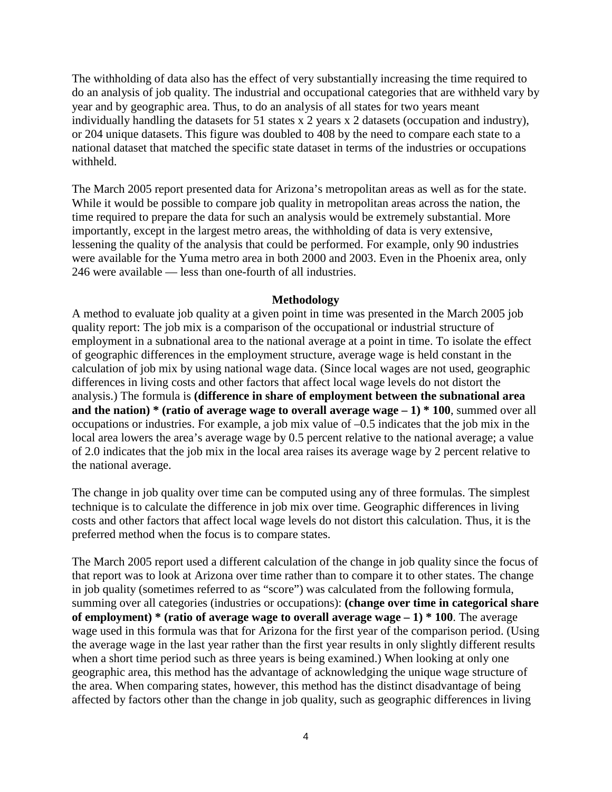The withholding of data also has the effect of very substantially increasing the time required to do an analysis of job quality. The industrial and occupational categories that are withheld vary by year and by geographic area. Thus, to do an analysis of all states for two years meant individually handling the datasets for 51 states x 2 years x 2 datasets (occupation and industry), or 204 unique datasets. This figure was doubled to 408 by the need to compare each state to a national dataset that matched the specific state dataset in terms of the industries or occupations withheld.

The March 2005 report presented data for Arizona's metropolitan areas as well as for the state. While it would be possible to compare job quality in metropolitan areas across the nation, the time required to prepare the data for such an analysis would be extremely substantial. More importantly, except in the largest metro areas, the withholding of data is very extensive, lessening the quality of the analysis that could be performed. For example, only 90 industries were available for the Yuma metro area in both 2000 and 2003. Even in the Phoenix area, only 246 were available — less than one-fourth of all industries.

#### **Methodology**

A method to evaluate job quality at a given point in time was presented in the March 2005 job quality report: The job mix is a comparison of the occupational or industrial structure of employment in a subnational area to the national average at a point in time. To isolate the effect of geographic differences in the employment structure, average wage is held constant in the calculation of job mix by using national wage data. (Since local wages are not used, geographic differences in living costs and other factors that affect local wage levels do not distort the analysis.) The formula is **(difference in share of employment between the subnational area and the nation) \* (ratio of average wage to overall average wage – 1) \* 100**, summed over all occupations or industries. For example, a job mix value of –0.5 indicates that the job mix in the local area lowers the area's average wage by 0.5 percent relative to the national average; a value of 2.0 indicates that the job mix in the local area raises its average wage by 2 percent relative to the national average.

The change in job quality over time can be computed using any of three formulas. The simplest technique is to calculate the difference in job mix over time. Geographic differences in living costs and other factors that affect local wage levels do not distort this calculation. Thus, it is the preferred method when the focus is to compare states.

The March 2005 report used a different calculation of the change in job quality since the focus of that report was to look at Arizona over time rather than to compare it to other states. The change in job quality (sometimes referred to as "score") was calculated from the following formula, summing over all categories (industries or occupations): **(change over time in categorical share of employment) \* (ratio of average wage to overall average wage – 1) \* 100**. The average wage used in this formula was that for Arizona for the first year of the comparison period. (Using the average wage in the last year rather than the first year results in only slightly different results when a short time period such as three years is being examined.) When looking at only one geographic area, this method has the advantage of acknowledging the unique wage structure of the area. When comparing states, however, this method has the distinct disadvantage of being affected by factors other than the change in job quality, such as geographic differences in living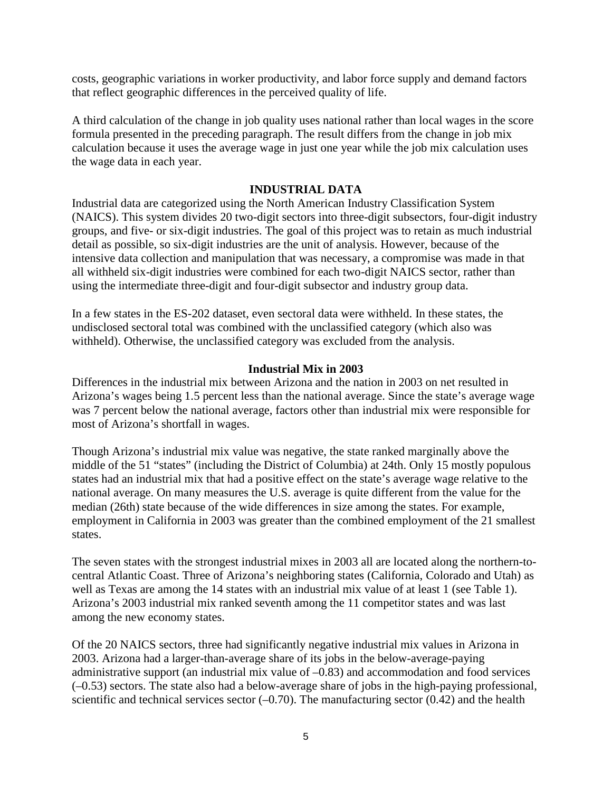costs, geographic variations in worker productivity, and labor force supply and demand factors that reflect geographic differences in the perceived quality of life.

A third calculation of the change in job quality uses national rather than local wages in the score formula presented in the preceding paragraph. The result differs from the change in job mix calculation because it uses the average wage in just one year while the job mix calculation uses the wage data in each year.

#### **INDUSTRIAL DATA**

Industrial data are categorized using the North American Industry Classification System (NAICS). This system divides 20 two-digit sectors into three-digit subsectors, four-digit industry groups, and five- or six-digit industries. The goal of this project was to retain as much industrial detail as possible, so six-digit industries are the unit of analysis. However, because of the intensive data collection and manipulation that was necessary, a compromise was made in that all withheld six-digit industries were combined for each two-digit NAICS sector, rather than using the intermediate three-digit and four-digit subsector and industry group data.

In a few states in the ES-202 dataset, even sectoral data were withheld. In these states, the undisclosed sectoral total was combined with the unclassified category (which also was withheld). Otherwise, the unclassified category was excluded from the analysis.

#### **Industrial Mix in 2003**

Differences in the industrial mix between Arizona and the nation in 2003 on net resulted in Arizona's wages being 1.5 percent less than the national average. Since the state's average wage was 7 percent below the national average, factors other than industrial mix were responsible for most of Arizona's shortfall in wages.

Though Arizona's industrial mix value was negative, the state ranked marginally above the middle of the 51 "states" (including the District of Columbia) at 24th. Only 15 mostly populous states had an industrial mix that had a positive effect on the state's average wage relative to the national average. On many measures the U.S. average is quite different from the value for the median (26th) state because of the wide differences in size among the states. For example, employment in California in 2003 was greater than the combined employment of the 21 smallest states.

The seven states with the strongest industrial mixes in 2003 all are located along the northern-tocentral Atlantic Coast. Three of Arizona's neighboring states (California, Colorado and Utah) as well as Texas are among the 14 states with an industrial mix value of at least 1 (see Table 1). Arizona's 2003 industrial mix ranked seventh among the 11 competitor states and was last among the new economy states.

Of the 20 NAICS sectors, three had significantly negative industrial mix values in Arizona in 2003. Arizona had a larger-than-average share of its jobs in the below-average-paying administrative support (an industrial mix value of –0.83) and accommodation and food services (–0.53) sectors. The state also had a below-average share of jobs in the high-paying professional, scientific and technical services sector  $(-0.70)$ . The manufacturing sector  $(0.42)$  and the health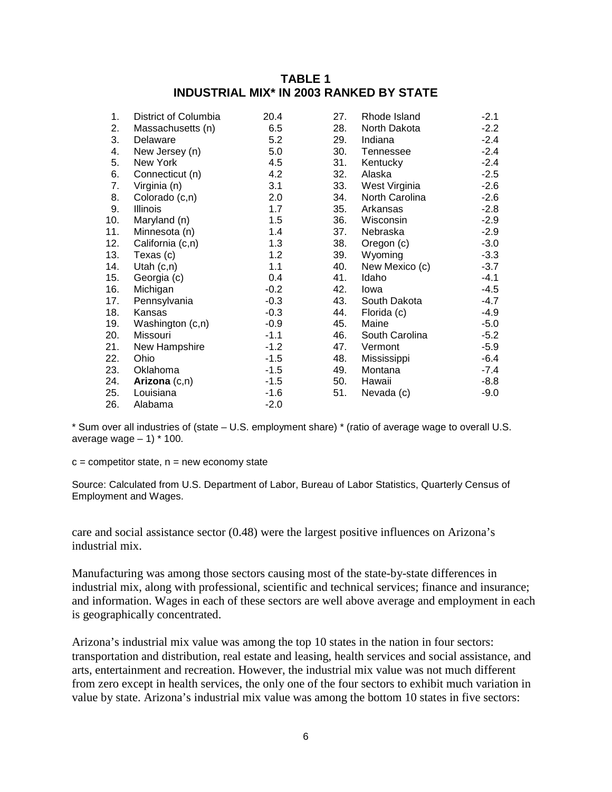### **TABLE 1 INDUSTRIAL MIX\* IN 2003 RANKED BY STATE**

| 1.  | District of Columbia | 20.4   | 27. | Rhode Island   | $-2.1$ |
|-----|----------------------|--------|-----|----------------|--------|
| 2.  | Massachusetts (n)    | 6.5    | 28. | North Dakota   | $-2.2$ |
| 3.  | Delaware             | 5.2    | 29. | Indiana        | $-2.4$ |
| 4.  | New Jersey (n)       | 5.0    | 30. | Tennessee      | $-2.4$ |
| 5.  | New York             | 4.5    | 31. | Kentucky       | $-2.4$ |
| 6.  | Connecticut (n)      | 4.2    | 32. | Alaska         | $-2.5$ |
| 7.  | Virginia (n)         | 3.1    | 33. | West Virginia  | $-2.6$ |
| 8.  | Colorado (c,n)       | 2.0    | 34. | North Carolina | $-2.6$ |
| 9.  | Illinois             | 1.7    | 35. | Arkansas       | $-2.8$ |
| 10. | Maryland (n)         | 1.5    | 36. | Wisconsin      | $-2.9$ |
| 11. | Minnesota (n)        | 1.4    | 37. | Nebraska       | $-2.9$ |
| 12. | California (c,n)     | 1.3    | 38. | Oregon (c)     | $-3.0$ |
| 13. | Texas (c)            | 1.2    | 39. | Wyoming        | $-3.3$ |
| 14. | Utah $(c, n)$        | 1.1    | 40. | New Mexico (c) | $-3.7$ |
| 15. | Georgia (c)          | 0.4    | 41. | Idaho          | $-4.1$ |
| 16. | Michigan             | $-0.2$ | 42. | Iowa           | $-4.5$ |
| 17. | Pennsylvania         | $-0.3$ | 43. | South Dakota   | $-4.7$ |
| 18. | Kansas               | $-0.3$ | 44. | Florida (c)    | $-4.9$ |
| 19. | Washington (c,n)     | $-0.9$ | 45. | Maine          | $-5.0$ |
| 20. | Missouri             | $-1.1$ | 46. | South Carolina | $-5.2$ |
| 21. | New Hampshire        | $-1.2$ | 47. | Vermont        | $-5.9$ |
| 22. | Ohio                 | $-1.5$ | 48. | Mississippi    | $-6.4$ |
| 23. | Oklahoma             | $-1.5$ | 49. | Montana        | $-7.4$ |
| 24. | Arizona (c,n)        | $-1.5$ | 50. | Hawaii         | $-8.8$ |
| 25. | Louisiana            | $-1.6$ | 51. | Nevada (c)     | $-9.0$ |
| 26. | Alabama              | $-2.0$ |     |                |        |

\* Sum over all industries of (state – U.S. employment share) \* (ratio of average wage to overall U.S. average wage  $-1$ )  $*$  100.

 $c =$  competitor state,  $n =$  new economy state

Source: Calculated from U.S. Department of Labor, Bureau of Labor Statistics, Quarterly Census of Employment and Wages.

care and social assistance sector (0.48) were the largest positive influences on Arizona's industrial mix.

Manufacturing was among those sectors causing most of the state-by-state differences in industrial mix, along with professional, scientific and technical services; finance and insurance; and information. Wages in each of these sectors are well above average and employment in each is geographically concentrated.

Arizona's industrial mix value was among the top 10 states in the nation in four sectors: transportation and distribution, real estate and leasing, health services and social assistance, and arts, entertainment and recreation. However, the industrial mix value was not much different from zero except in health services, the only one of the four sectors to exhibit much variation in value by state. Arizona's industrial mix value was among the bottom 10 states in five sectors: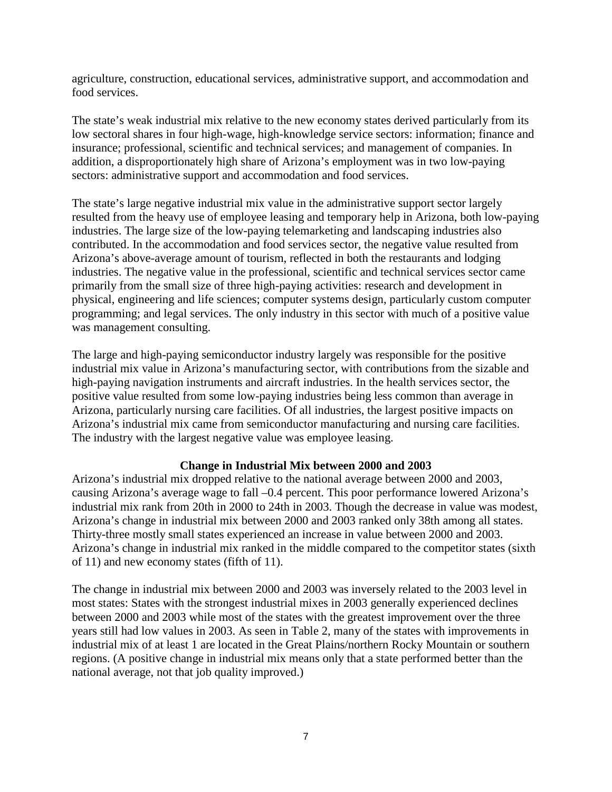agriculture, construction, educational services, administrative support, and accommodation and food services.

The state's weak industrial mix relative to the new economy states derived particularly from its low sectoral shares in four high-wage, high-knowledge service sectors: information; finance and insurance; professional, scientific and technical services; and management of companies. In addition, a disproportionately high share of Arizona's employment was in two low-paying sectors: administrative support and accommodation and food services.

The state's large negative industrial mix value in the administrative support sector largely resulted from the heavy use of employee leasing and temporary help in Arizona, both low-paying industries. The large size of the low-paying telemarketing and landscaping industries also contributed. In the accommodation and food services sector, the negative value resulted from Arizona's above-average amount of tourism, reflected in both the restaurants and lodging industries. The negative value in the professional, scientific and technical services sector came primarily from the small size of three high-paying activities: research and development in physical, engineering and life sciences; computer systems design, particularly custom computer programming; and legal services. The only industry in this sector with much of a positive value was management consulting.

The large and high-paying semiconductor industry largely was responsible for the positive industrial mix value in Arizona's manufacturing sector, with contributions from the sizable and high-paying navigation instruments and aircraft industries. In the health services sector, the positive value resulted from some low-paying industries being less common than average in Arizona, particularly nursing care facilities. Of all industries, the largest positive impacts on Arizona's industrial mix came from semiconductor manufacturing and nursing care facilities. The industry with the largest negative value was employee leasing.

#### **Change in Industrial Mix between 2000 and 2003**

Arizona's industrial mix dropped relative to the national average between 2000 and 2003, causing Arizona's average wage to fall –0.4 percent. This poor performance lowered Arizona's industrial mix rank from 20th in 2000 to 24th in 2003. Though the decrease in value was modest, Arizona's change in industrial mix between 2000 and 2003 ranked only 38th among all states. Thirty-three mostly small states experienced an increase in value between 2000 and 2003. Arizona's change in industrial mix ranked in the middle compared to the competitor states (sixth of 11) and new economy states (fifth of 11).

The change in industrial mix between 2000 and 2003 was inversely related to the 2003 level in most states: States with the strongest industrial mixes in 2003 generally experienced declines between 2000 and 2003 while most of the states with the greatest improvement over the three years still had low values in 2003. As seen in Table 2, many of the states with improvements in industrial mix of at least 1 are located in the Great Plains/northern Rocky Mountain or southern regions. (A positive change in industrial mix means only that a state performed better than the national average, not that job quality improved.)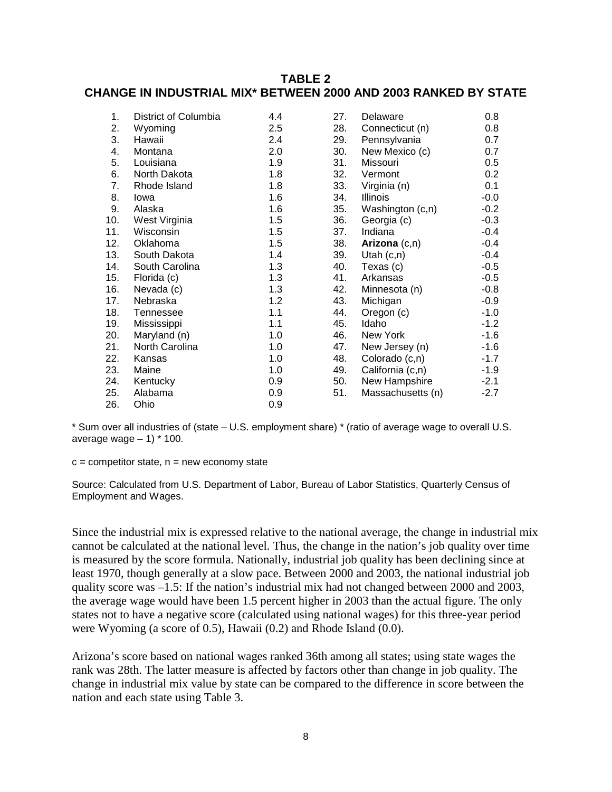## **TABLE 2 CHANGE IN INDUSTRIAL MIX\* BETWEEN 2000 AND 2003 RANKED BY STATE**

| 1.  | District of Columbia | 4.4 | 27. | Delaware          | 0.8    |
|-----|----------------------|-----|-----|-------------------|--------|
| 2.  | Wyoming              | 2.5 | 28. | Connecticut (n)   | 0.8    |
| 3.  | Hawaii               | 2.4 | 29. | Pennsylvania      | 0.7    |
| 4.  | Montana              | 2.0 | 30. | New Mexico (c)    | 0.7    |
| 5.  | Louisiana            | 1.9 | 31. | Missouri          | 0.5    |
| 6.  | North Dakota         | 1.8 | 32. | Vermont           | 0.2    |
| 7.  | Rhode Island         | 1.8 | 33. | Virginia (n)      | 0.1    |
| 8.  | lowa                 | 1.6 | 34. | Illinois          | $-0.0$ |
| 9.  | Alaska               | 1.6 | 35. | Washington (c,n)  | $-0.2$ |
| 10. | West Virginia        | 1.5 | 36. | Georgia (c)       | $-0.3$ |
| 11. | Wisconsin            | 1.5 | 37. | Indiana           | $-0.4$ |
| 12. | Oklahoma             | 1.5 | 38. | Arizona $(c,n)$   | $-0.4$ |
| 13. | South Dakota         | 1.4 | 39. | Utah $(c, n)$     | $-0.4$ |
| 14. | South Carolina       | 1.3 | 40. | Texas (c)         | $-0.5$ |
| 15. | Florida (c)          | 1.3 | 41. | Arkansas          | $-0.5$ |
| 16. | Nevada (c)           | 1.3 | 42. | Minnesota (n)     | $-0.8$ |
| 17. | Nebraska             | 1.2 | 43. | Michigan          | $-0.9$ |
| 18. | Tennessee            | 1.1 | 44. | Oregon (c)        | $-1.0$ |
| 19. | Mississippi          | 1.1 | 45. | Idaho             | $-1.2$ |
| 20. | Maryland (n)         | 1.0 | 46. | New York          | $-1.6$ |
| 21. | North Carolina       | 1.0 | 47. | New Jersey (n)    | $-1.6$ |
| 22. | Kansas               | 1.0 | 48. | Colorado (c,n)    | $-1.7$ |
| 23. | Maine                | 1.0 | 49. | California (c,n)  | $-1.9$ |
| 24. | Kentucky             | 0.9 | 50. | New Hampshire     | $-2.1$ |
| 25. | Alabama              | 0.9 | 51. | Massachusetts (n) | $-2.7$ |
| 26. | Ohio                 | 0.9 |     |                   |        |

\* Sum over all industries of (state – U.S. employment share) \* (ratio of average wage to overall U.S. average wage  $-1$ )  $*$  100.

 $c =$  competitor state,  $n =$  new economy state

Source: Calculated from U.S. Department of Labor, Bureau of Labor Statistics, Quarterly Census of Employment and Wages.

Since the industrial mix is expressed relative to the national average, the change in industrial mix cannot be calculated at the national level. Thus, the change in the nation's job quality over time is measured by the score formula. Nationally, industrial job quality has been declining since at least 1970, though generally at a slow pace. Between 2000 and 2003, the national industrial job quality score was –1.5: If the nation's industrial mix had not changed between 2000 and 2003, the average wage would have been 1.5 percent higher in 2003 than the actual figure. The only states not to have a negative score (calculated using national wages) for this three-year period were Wyoming (a score of 0.5), Hawaii (0.2) and Rhode Island (0.0).

Arizona's score based on national wages ranked 36th among all states; using state wages the rank was 28th. The latter measure is affected by factors other than change in job quality. The change in industrial mix value by state can be compared to the difference in score between the nation and each state using Table 3.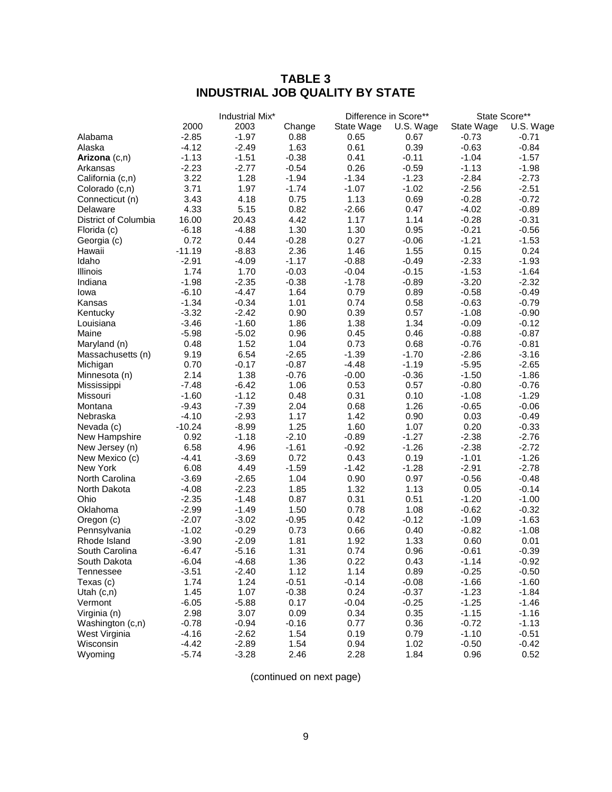# **TABLE 3 INDUSTRIAL JOB QUALITY BY STATE**

| State Score**<br>Difference in Score**<br>2000<br>2003<br>U.S. Wage<br>State Wage<br>Change<br>State Wage<br>$-2.85$<br>$-1.97$<br>0.88<br>0.65<br>$-0.73$<br>Alabama<br>0.67<br>$-4.12$<br>1.63<br>0.61<br>0.39<br>$-0.63$<br>Alaska<br>$-2.49$<br>$-1.13$<br>$-1.51$<br>$-0.38$<br>0.41<br>$-1.04$<br>Arizona (c,n)<br>$-0.11$<br>$-2.23$<br>0.26<br>$-2.77$<br>$-0.54$<br>$-0.59$<br>$-1.13$<br>Arkansas<br>3.22<br>1.28<br>$-1.94$<br>$-1.34$<br>$-2.84$<br>California (c,n)<br>$-1.23$<br>3.71<br>1.97<br>$-1.74$<br>$-1.07$<br>$-1.02$<br>$-2.56$<br>Colorado (c,n)<br>3.43<br>4.18<br>0.75<br>1.13<br>0.69<br>$-0.28$<br>Connecticut (n) | U.S. Wage<br>$-0.71$<br>$-0.84$<br>$-1.57$<br>$-1.98$<br>$-2.73$<br>$-2.51$<br>$-0.72$<br>$-0.89$<br>$-0.31$<br>$-0.56$<br>$-1.53$<br>0.24<br>$-1.93$<br>$-1.64$ |
|-------------------------------------------------------------------------------------------------------------------------------------------------------------------------------------------------------------------------------------------------------------------------------------------------------------------------------------------------------------------------------------------------------------------------------------------------------------------------------------------------------------------------------------------------------------------------------------------------------------------------------------------------|------------------------------------------------------------------------------------------------------------------------------------------------------------------|
|                                                                                                                                                                                                                                                                                                                                                                                                                                                                                                                                                                                                                                                 |                                                                                                                                                                  |
|                                                                                                                                                                                                                                                                                                                                                                                                                                                                                                                                                                                                                                                 |                                                                                                                                                                  |
|                                                                                                                                                                                                                                                                                                                                                                                                                                                                                                                                                                                                                                                 |                                                                                                                                                                  |
|                                                                                                                                                                                                                                                                                                                                                                                                                                                                                                                                                                                                                                                 |                                                                                                                                                                  |
|                                                                                                                                                                                                                                                                                                                                                                                                                                                                                                                                                                                                                                                 |                                                                                                                                                                  |
|                                                                                                                                                                                                                                                                                                                                                                                                                                                                                                                                                                                                                                                 |                                                                                                                                                                  |
|                                                                                                                                                                                                                                                                                                                                                                                                                                                                                                                                                                                                                                                 |                                                                                                                                                                  |
|                                                                                                                                                                                                                                                                                                                                                                                                                                                                                                                                                                                                                                                 |                                                                                                                                                                  |
| 4.33<br>$-4.02$<br>5.15<br>0.82<br>$-2.66$<br>0.47<br>Delaware                                                                                                                                                                                                                                                                                                                                                                                                                                                                                                                                                                                  |                                                                                                                                                                  |
| 16.00<br>4.42<br>District of Columbia<br>20.43<br>1.17<br>1.14<br>$-0.28$                                                                                                                                                                                                                                                                                                                                                                                                                                                                                                                                                                       |                                                                                                                                                                  |
| $-6.18$<br>$-4.88$<br>1.30<br>1.30<br>0.95<br>$-0.21$<br>Florida (c)                                                                                                                                                                                                                                                                                                                                                                                                                                                                                                                                                                            |                                                                                                                                                                  |
| 0.72<br>$-0.28$<br>0.27<br>0.44<br>$-0.06$<br>$-1.21$<br>Georgia (c)                                                                                                                                                                                                                                                                                                                                                                                                                                                                                                                                                                            |                                                                                                                                                                  |
| $-11.19$<br>$-8.83$<br>2.36<br>1.46<br>1.55<br>0.15<br>Hawaii                                                                                                                                                                                                                                                                                                                                                                                                                                                                                                                                                                                   |                                                                                                                                                                  |
| Idaho<br>$-2.91$<br>$-4.09$<br>$-1.17$<br>$-0.88$<br>$-0.49$<br>$-2.33$                                                                                                                                                                                                                                                                                                                                                                                                                                                                                                                                                                         |                                                                                                                                                                  |
| 1.74<br>1.70<br>$-0.03$<br>$-0.04$<br>$-1.53$<br>Illinois<br>$-0.15$                                                                                                                                                                                                                                                                                                                                                                                                                                                                                                                                                                            |                                                                                                                                                                  |
| $-1.98$<br>Indiana<br>$-2.35$<br>$-0.38$<br>$-1.78$<br>$-0.89$<br>$-3.20$                                                                                                                                                                                                                                                                                                                                                                                                                                                                                                                                                                       | $-2.32$                                                                                                                                                          |
| $-6.10$<br>$-4.47$<br>1.64<br>0.79<br>0.89<br>$-0.58$<br>lowa                                                                                                                                                                                                                                                                                                                                                                                                                                                                                                                                                                                   | $-0.49$                                                                                                                                                          |
| $-1.34$<br>Kansas<br>$-0.34$<br>1.01<br>0.74<br>0.58<br>$-0.63$                                                                                                                                                                                                                                                                                                                                                                                                                                                                                                                                                                                 | $-0.79$                                                                                                                                                          |
| $-3.32$<br>0.90<br>0.39<br>0.57<br>$-1.08$<br>Kentucky<br>$-2.42$                                                                                                                                                                                                                                                                                                                                                                                                                                                                                                                                                                               | $-0.90$                                                                                                                                                          |
| $-3.46$<br>$-1.60$<br>1.86<br>1.38<br>1.34<br>$-0.09$<br>Louisiana                                                                                                                                                                                                                                                                                                                                                                                                                                                                                                                                                                              | $-0.12$                                                                                                                                                          |
| Maine<br>$-5.98$<br>0.96<br>0.45<br>0.46<br>$-0.88$<br>$-5.02$                                                                                                                                                                                                                                                                                                                                                                                                                                                                                                                                                                                  | $-0.87$                                                                                                                                                          |
| 0.48<br>1.52<br>1.04<br>0.73<br>Maryland (n)<br>0.68<br>$-0.76$                                                                                                                                                                                                                                                                                                                                                                                                                                                                                                                                                                                 | $-0.81$                                                                                                                                                          |
| $-1.39$<br>9.19<br>6.54<br>$-2.65$<br>$-1.70$<br>$-2.86$<br>Massachusetts (n)                                                                                                                                                                                                                                                                                                                                                                                                                                                                                                                                                                   | $-3.16$                                                                                                                                                          |
| 0.70<br>$-0.17$<br>$-0.87$<br>$-4.48$<br>$-1.19$<br>$-5.95$<br>Michigan                                                                                                                                                                                                                                                                                                                                                                                                                                                                                                                                                                         | $-2.65$                                                                                                                                                          |
| 2.14<br>1.38<br>$-0.76$<br>$-0.00$<br>$-0.36$<br>$-1.50$<br>Minnesota (n)                                                                                                                                                                                                                                                                                                                                                                                                                                                                                                                                                                       | $-1.86$                                                                                                                                                          |
| $-7.48$<br>1.06<br>0.53<br>$-0.80$<br>$-6.42$<br>0.57<br>Mississippi                                                                                                                                                                                                                                                                                                                                                                                                                                                                                                                                                                            | $-0.76$                                                                                                                                                          |
| $-1.60$<br>$-1.12$<br>0.48<br>0.31<br>0.10<br>$-1.08$<br>Missouri                                                                                                                                                                                                                                                                                                                                                                                                                                                                                                                                                                               | $-1.29$                                                                                                                                                          |
| $-9.43$<br>$-7.39$<br>2.04<br>0.68<br>1.26<br>$-0.65$<br>Montana                                                                                                                                                                                                                                                                                                                                                                                                                                                                                                                                                                                | $-0.06$                                                                                                                                                          |
| $-4.10$<br>Nebraska<br>$-2.93$<br>1.17<br>1.42<br>0.90<br>0.03                                                                                                                                                                                                                                                                                                                                                                                                                                                                                                                                                                                  | $-0.49$                                                                                                                                                          |
| 1.25<br>1.60<br>0.20<br>$-10.24$<br>$-8.99$<br>1.07<br>Nevada (c)                                                                                                                                                                                                                                                                                                                                                                                                                                                                                                                                                                               | $-0.33$                                                                                                                                                          |
| 0.92<br>$-2.38$<br>$-1.18$<br>$-2.10$<br>$-0.89$<br>$-1.27$<br>New Hampshire                                                                                                                                                                                                                                                                                                                                                                                                                                                                                                                                                                    | $-2.76$                                                                                                                                                          |
| 6.58<br>4.96<br>$-1.61$<br>$-0.92$<br>$-1.26$<br>$-2.38$<br>New Jersey (n)                                                                                                                                                                                                                                                                                                                                                                                                                                                                                                                                                                      | $-2.72$                                                                                                                                                          |
| $-4.41$<br>$-3.69$<br>0.43<br>$-1.01$<br>New Mexico (c)<br>0.72<br>0.19                                                                                                                                                                                                                                                                                                                                                                                                                                                                                                                                                                         | $-1.26$                                                                                                                                                          |
| 6.08<br>$-1.28$<br>New York<br>4.49<br>$-1.59$<br>$-1.42$<br>$-2.91$                                                                                                                                                                                                                                                                                                                                                                                                                                                                                                                                                                            | $-2.78$                                                                                                                                                          |
| North Carolina<br>$-3.69$<br>$-2.65$<br>1.04<br>0.90<br>0.97<br>$-0.56$                                                                                                                                                                                                                                                                                                                                                                                                                                                                                                                                                                         | $-0.48$                                                                                                                                                          |
| $-2.23$<br>1.32<br>North Dakota<br>$-4.08$<br>1.85<br>1.13<br>0.05                                                                                                                                                                                                                                                                                                                                                                                                                                                                                                                                                                              | $-0.14$                                                                                                                                                          |
| Ohio<br>$-2.35$<br>0.87<br>0.31<br>0.51<br>$-1.20$<br>$-1.48$                                                                                                                                                                                                                                                                                                                                                                                                                                                                                                                                                                                   | $-1.00$                                                                                                                                                          |
| $-2.99$<br>$-1.49$<br>1.50<br>0.78<br>1.08<br>$-0.62$<br>Oklahoma                                                                                                                                                                                                                                                                                                                                                                                                                                                                                                                                                                               | $-0.32$                                                                                                                                                          |
| $-2.07$<br>$-3.02$<br>$-0.95$<br>0.42<br>$-1.09$<br>Oregon (c)<br>$-0.12$                                                                                                                                                                                                                                                                                                                                                                                                                                                                                                                                                                       | $-1.63$                                                                                                                                                          |
| $-1.02$<br>0.66<br>$-0.82$<br>Pennsylvania<br>$-0.29$<br>0.73<br>0.40                                                                                                                                                                                                                                                                                                                                                                                                                                                                                                                                                                           | $-1.08$                                                                                                                                                          |
| Rhode Island<br>$-3.90$<br>$-2.09$<br>1.81<br>1.92<br>1.33<br>0.60                                                                                                                                                                                                                                                                                                                                                                                                                                                                                                                                                                              | 0.01                                                                                                                                                             |
| South Carolina<br>$-6.47$<br>1.31<br>$-0.61$<br>$-5.16$<br>0.74<br>0.96                                                                                                                                                                                                                                                                                                                                                                                                                                                                                                                                                                         | $-0.39$                                                                                                                                                          |
| South Dakota<br>$-6.04$<br>$-4.68$<br>1.36<br>0.22<br>0.43<br>$-1.14$                                                                                                                                                                                                                                                                                                                                                                                                                                                                                                                                                                           | $-0.92$                                                                                                                                                          |
| 1.14<br>0.89<br>$-3.51$<br>$-2.40$<br>1.12<br>$-0.25$<br>Tennessee                                                                                                                                                                                                                                                                                                                                                                                                                                                                                                                                                                              | $-0.50$                                                                                                                                                          |
| 1.74<br>1.24<br>$-0.51$<br>$-0.14$<br>$-0.08$<br>$-1.66$<br>Texas (c)                                                                                                                                                                                                                                                                                                                                                                                                                                                                                                                                                                           | $-1.60$                                                                                                                                                          |
| 1.45<br>1.07<br>$-0.38$<br>0.24<br>$-0.37$<br>$-1.23$<br>Utah $(c, n)$                                                                                                                                                                                                                                                                                                                                                                                                                                                                                                                                                                          | $-1.84$                                                                                                                                                          |
| $-6.05$<br>$-5.88$<br>0.17<br>$-0.04$<br>$-0.25$<br>$-1.25$<br>Vermont                                                                                                                                                                                                                                                                                                                                                                                                                                                                                                                                                                          | $-1.46$                                                                                                                                                          |
| 2.98<br>3.07<br>0.09<br>0.34<br>0.35<br>$-1.15$<br>Virginia (n)                                                                                                                                                                                                                                                                                                                                                                                                                                                                                                                                                                                 | $-1.16$                                                                                                                                                          |
| $-0.78$<br>0.36<br>$-0.94$<br>$-0.16$<br>0.77<br>$-0.72$<br>Washington (c,n)                                                                                                                                                                                                                                                                                                                                                                                                                                                                                                                                                                    | $-1.13$                                                                                                                                                          |
| 0.19<br>0.79<br>$-1.10$<br>$-4.16$<br>$-2.62$<br>1.54<br>West Virginia                                                                                                                                                                                                                                                                                                                                                                                                                                                                                                                                                                          | $-0.51$                                                                                                                                                          |
| $-4.42$<br>$-2.89$<br>1.54<br>0.94<br>1.02<br>$-0.50$<br>Wisconsin                                                                                                                                                                                                                                                                                                                                                                                                                                                                                                                                                                              | $-0.42$                                                                                                                                                          |
| 1.84<br>Wyoming<br>$-5.74$<br>$-3.28$<br>2.46<br>2.28<br>0.96                                                                                                                                                                                                                                                                                                                                                                                                                                                                                                                                                                                   | 0.52                                                                                                                                                             |

(continued on next page)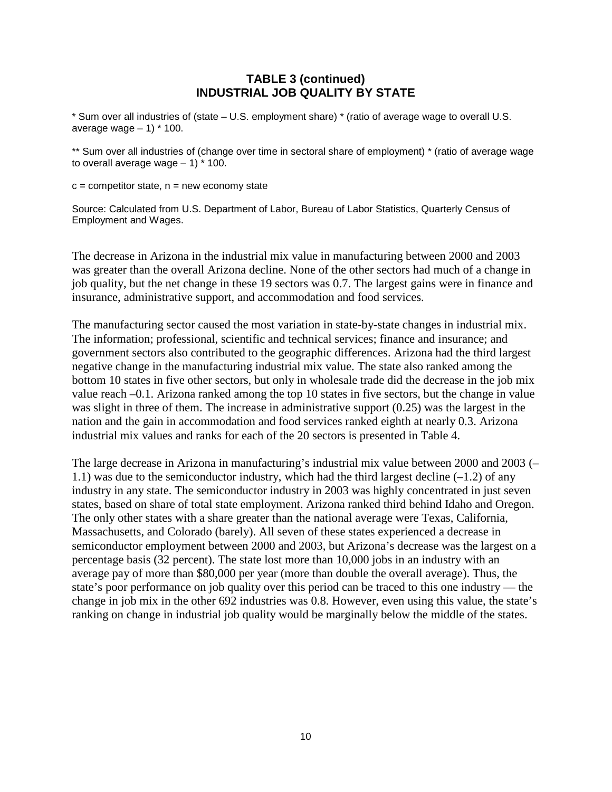#### **TABLE 3 (continued) INDUSTRIAL JOB QUALITY BY STATE**

\* Sum over all industries of (state – U.S. employment share) \* (ratio of average wage to overall U.S. average wage  $-1$ )  $*$  100.

\*\* Sum over all industries of (change over time in sectoral share of employment) \* (ratio of average wage to overall average wage  $-1$ )  $*$  100.

 $c =$  competitor state,  $n =$  new economy state

Source: Calculated from U.S. Department of Labor, Bureau of Labor Statistics, Quarterly Census of Employment and Wages.

The decrease in Arizona in the industrial mix value in manufacturing between 2000 and 2003 was greater than the overall Arizona decline. None of the other sectors had much of a change in job quality, but the net change in these 19 sectors was 0.7. The largest gains were in finance and insurance, administrative support, and accommodation and food services.

The manufacturing sector caused the most variation in state-by-state changes in industrial mix. The information; professional, scientific and technical services; finance and insurance; and government sectors also contributed to the geographic differences. Arizona had the third largest negative change in the manufacturing industrial mix value. The state also ranked among the bottom 10 states in five other sectors, but only in wholesale trade did the decrease in the job mix value reach –0.1. Arizona ranked among the top 10 states in five sectors, but the change in value was slight in three of them. The increase in administrative support (0.25) was the largest in the nation and the gain in accommodation and food services ranked eighth at nearly 0.3. Arizona industrial mix values and ranks for each of the 20 sectors is presented in Table 4.

The large decrease in Arizona in manufacturing's industrial mix value between 2000 and 2003 (– 1.1) was due to the semiconductor industry, which had the third largest decline  $(-1.2)$  of any industry in any state. The semiconductor industry in 2003 was highly concentrated in just seven states, based on share of total state employment. Arizona ranked third behind Idaho and Oregon. The only other states with a share greater than the national average were Texas, California, Massachusetts, and Colorado (barely). All seven of these states experienced a decrease in semiconductor employment between 2000 and 2003, but Arizona's decrease was the largest on a percentage basis (32 percent). The state lost more than 10,000 jobs in an industry with an average pay of more than \$80,000 per year (more than double the overall average). Thus, the state's poor performance on job quality over this period can be traced to this one industry — the change in job mix in the other 692 industries was 0.8. However, even using this value, the state's ranking on change in industrial job quality would be marginally below the middle of the states.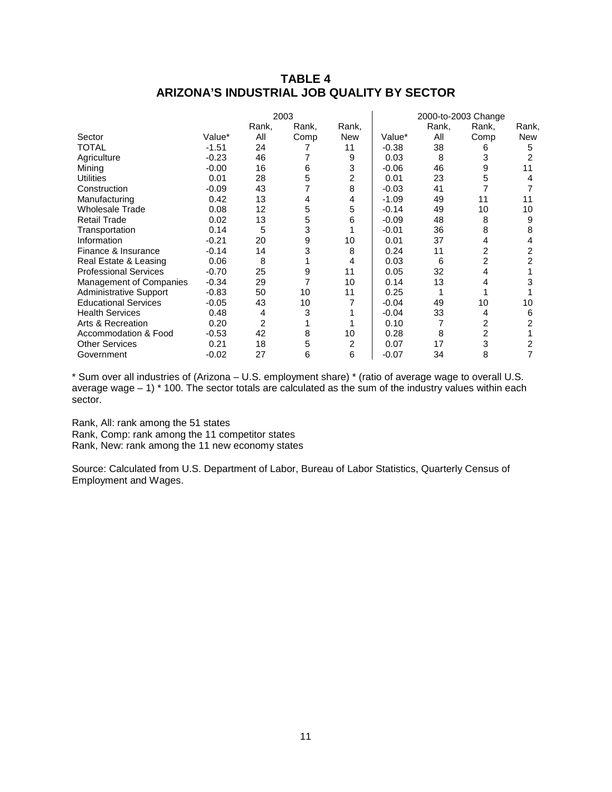## **TABLE 4 ARIZONA'S INDUSTRIAL JOB QUALITY BY SECTOR**

|                               |         |       | 2003  |                |         |       | 2000-to-2003 Change |            |
|-------------------------------|---------|-------|-------|----------------|---------|-------|---------------------|------------|
|                               |         | Rank, | Rank, | Rank,          |         | Rank, | Rank,               | Rank,      |
| Sector                        | Value*  | All   | Comp  | <b>New</b>     | Value*  | All   | Comp                | <b>New</b> |
| TOTAL                         | $-1.51$ | 24    |       | 11             | $-0.38$ | 38    | 6                   | 5          |
| Agriculture                   | $-0.23$ | 46    |       | 9              | 0.03    | 8     | 3                   | 2          |
| Mining                        | $-0.00$ | 16    | 6     | 3              | $-0.06$ | 46    | 9                   | 11         |
| <b>Utilities</b>              | 0.01    | 28    | 5     | $\overline{2}$ | 0.01    | 23    | 5                   |            |
| Construction                  | $-0.09$ | 43    | 7     | 8              | $-0.03$ | 41    |                     |            |
| Manufacturing                 | 0.42    | 13    | 4     | 4              | $-1.09$ | 49    | 11                  | 11         |
| <b>Wholesale Trade</b>        | 0.08    | 12    | 5     | 5              | $-0.14$ | 49    | 10                  | 10         |
| <b>Retail Trade</b>           | 0.02    | 13    | 5     | 6              | $-0.09$ | 48    | 8                   | 9          |
| Transportation                | 0.14    | 5     | 3     |                | $-0.01$ | 36    | 8                   | 8          |
| Information                   | $-0.21$ | 20    | 9     | 10             | 0.01    | 37    | 4                   | 4          |
| Finance & Insurance           | $-0.14$ | 14    | 3     | 8              | 0.24    | 11    | 2                   |            |
| Real Estate & Leasing         | 0.06    | 8     |       | 4              | 0.03    | 6     | $\overline{2}$      |            |
| <b>Professional Services</b>  | $-0.70$ | 25    | 9     | 11             | 0.05    | 32    | 4                   |            |
| Management of Companies       | $-0.34$ | 29    | 7     | 10             | 0.14    | 13    | 4                   | 3          |
| <b>Administrative Support</b> | $-0.83$ | 50    | 10    | 11             | 0.25    |       |                     |            |
| <b>Educational Services</b>   | $-0.05$ | 43    | 10    |                | $-0.04$ | 49    | 10                  | 10         |
| <b>Health Services</b>        | 0.48    | 4     | 3     |                | $-0.04$ | 33    | 4                   | 6          |
| Arts & Recreation             | 0.20    | 2     |       |                | 0.10    | 7     | 2                   |            |
| Accommodation & Food          | $-0.53$ | 42    | 8     | 10             | 0.28    | 8     | 2                   |            |
| <b>Other Services</b>         | 0.21    | 18    | 5     | 2              | 0.07    | 17    | 3                   |            |
| Government                    | $-0.02$ | 27    | 6     | 6              | $-0.07$ | 34    | 8                   |            |

\* Sum over all industries of (Arizona – U.S. employment share) \* (ratio of average wage to overall U.S. average wage – 1) \* 100. The sector totals are calculated as the sum of the industry values within each sector.

Rank, All: rank among the 51 states

Rank, Comp: rank among the 11 competitor states Rank, New: rank among the 11 new economy states

Source: Calculated from U.S. Department of Labor, Bureau of Labor Statistics, Quarterly Census of Employment and Wages.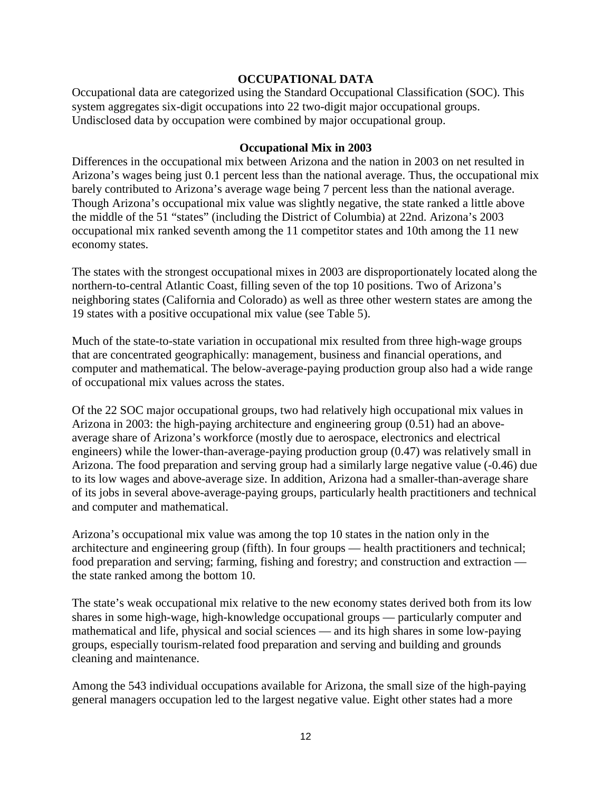#### **OCCUPATIONAL DATA**

Occupational data are categorized using the Standard Occupational Classification (SOC). This system aggregates six-digit occupations into 22 two-digit major occupational groups. Undisclosed data by occupation were combined by major occupational group.

#### **Occupational Mix in 2003**

Differences in the occupational mix between Arizona and the nation in 2003 on net resulted in Arizona's wages being just 0.1 percent less than the national average. Thus, the occupational mix barely contributed to Arizona's average wage being 7 percent less than the national average. Though Arizona's occupational mix value was slightly negative, the state ranked a little above the middle of the 51 "states" (including the District of Columbia) at 22nd. Arizona's 2003 occupational mix ranked seventh among the 11 competitor states and 10th among the 11 new economy states.

The states with the strongest occupational mixes in 2003 are disproportionately located along the northern-to-central Atlantic Coast, filling seven of the top 10 positions. Two of Arizona's neighboring states (California and Colorado) as well as three other western states are among the 19 states with a positive occupational mix value (see Table 5).

Much of the state-to-state variation in occupational mix resulted from three high-wage groups that are concentrated geographically: management, business and financial operations, and computer and mathematical. The below-average-paying production group also had a wide range of occupational mix values across the states.

Of the 22 SOC major occupational groups, two had relatively high occupational mix values in Arizona in 2003: the high-paying architecture and engineering group (0.51) had an aboveaverage share of Arizona's workforce (mostly due to aerospace, electronics and electrical engineers) while the lower-than-average-paying production group (0.47) was relatively small in Arizona. The food preparation and serving group had a similarly large negative value (-0.46) due to its low wages and above-average size. In addition, Arizona had a smaller-than-average share of its jobs in several above-average-paying groups, particularly health practitioners and technical and computer and mathematical.

Arizona's occupational mix value was among the top 10 states in the nation only in the architecture and engineering group (fifth). In four groups — health practitioners and technical; food preparation and serving; farming, fishing and forestry; and construction and extraction the state ranked among the bottom 10.

The state's weak occupational mix relative to the new economy states derived both from its low shares in some high-wage, high-knowledge occupational groups — particularly computer and mathematical and life, physical and social sciences — and its high shares in some low-paying groups, especially tourism-related food preparation and serving and building and grounds cleaning and maintenance.

Among the 543 individual occupations available for Arizona, the small size of the high-paying general managers occupation led to the largest negative value. Eight other states had a more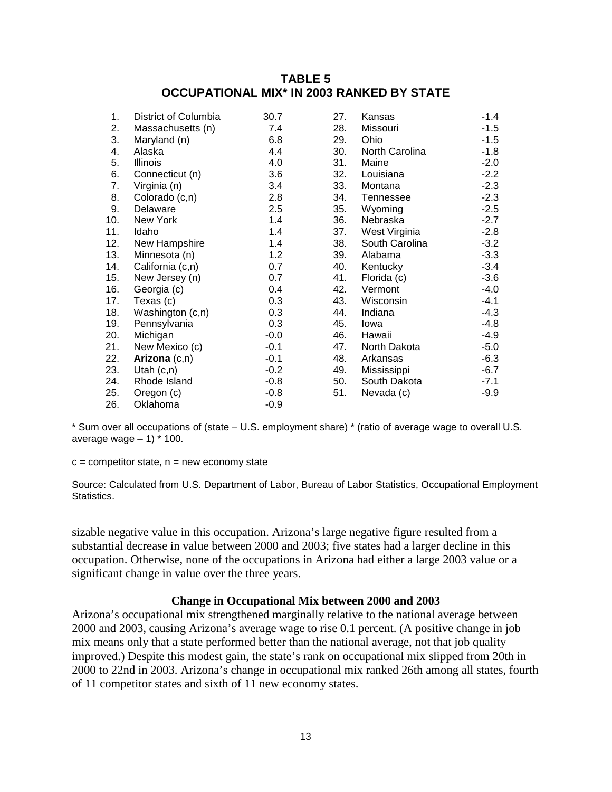## **TABLE 5 OCCUPATIONAL MIX\* IN 2003 RANKED BY STATE**

|                  |                                                                                                                                               |                    |                   | $-1.4$                     |
|------------------|-----------------------------------------------------------------------------------------------------------------------------------------------|--------------------|-------------------|----------------------------|
|                  |                                                                                                                                               |                    |                   | $-1.5$                     |
|                  |                                                                                                                                               |                    |                   | $-1.5$                     |
| Alaska           | 4.4                                                                                                                                           | 30.                | North Carolina    | $-1.8$                     |
| Illinois         | 4.0                                                                                                                                           | 31.                | Maine             | $-2.0$                     |
| Connecticut (n)  | 3.6                                                                                                                                           | 32.                | Louisiana         | $-2.2$                     |
| Virginia (n)     | 3.4                                                                                                                                           | 33.                | Montana           | $-2.3$                     |
|                  | 2.8                                                                                                                                           | 34.                | Tennessee         | $-2.3$                     |
| Delaware         | 2.5                                                                                                                                           | 35.                | Wyoming           | $-2.5$                     |
| New York         | 1.4                                                                                                                                           | 36.                | Nebraska          | $-2.7$                     |
| Idaho            | 1.4                                                                                                                                           | 37.                | West Virginia     | $-2.8$                     |
| New Hampshire    | 1.4                                                                                                                                           | 38.                | South Carolina    | $-3.2$                     |
| Minnesota (n)    | 1.2                                                                                                                                           | 39.                | Alabama           | $-3.3$                     |
|                  | 0.7                                                                                                                                           | 40.                | Kentucky          | $-3.4$                     |
| New Jersey (n)   | 0.7                                                                                                                                           | 41.                | Florida (c)       | $-3.6$                     |
| Georgia (c)      | 0.4                                                                                                                                           | 42.                | Vermont           | $-4.0$                     |
| Texas (c)        | 0.3                                                                                                                                           | 43.                | Wisconsin         | $-4.1$                     |
| Washington (c,n) | 0.3                                                                                                                                           | 44.                | Indiana           | $-4.3$                     |
|                  | 0.3                                                                                                                                           | 45.                | lowa              | $-4.8$                     |
|                  | $-0.0$                                                                                                                                        | 46.                | Hawaii            | $-4.9$                     |
|                  | $-0.1$                                                                                                                                        | 47.                | North Dakota      | $-5.0$                     |
| Arizona $(c,n)$  | $-0.1$                                                                                                                                        | 48.                | Arkansas          | $-6.3$                     |
| Utah $(c, n)$    | $-0.2$                                                                                                                                        | 49.                | Mississippi       | $-6.7$                     |
| Rhode Island     | $-0.8$                                                                                                                                        | 50.                | South Dakota      | $-7.1$                     |
| Oregon (c)       | $-0.8$                                                                                                                                        | 51.                | Nevada (c)        | $-9.9$                     |
| Oklahoma         | $-0.9$                                                                                                                                        |                    |                   |                            |
|                  | District of Columbia<br>Massachusetts (n)<br>Maryland (n)<br>Colorado (c,n)<br>California (c,n)<br>Pennsylvania<br>Michigan<br>New Mexico (c) | 30.7<br>7.4<br>6.8 | 27.<br>28.<br>29. | Kansas<br>Missouri<br>Ohio |

\* Sum over all occupations of (state – U.S. employment share) \* (ratio of average wage to overall U.S. average wage  $-1$ )  $*$  100.

 $c =$  competitor state,  $n =$  new economy state

Source: Calculated from U.S. Department of Labor, Bureau of Labor Statistics, Occupational Employment Statistics.

sizable negative value in this occupation. Arizona's large negative figure resulted from a substantial decrease in value between 2000 and 2003; five states had a larger decline in this occupation. Otherwise, none of the occupations in Arizona had either a large 2003 value or a significant change in value over the three years.

#### **Change in Occupational Mix between 2000 and 2003**

Arizona's occupational mix strengthened marginally relative to the national average between 2000 and 2003, causing Arizona's average wage to rise 0.1 percent. (A positive change in job mix means only that a state performed better than the national average, not that job quality improved.) Despite this modest gain, the state's rank on occupational mix slipped from 20th in 2000 to 22nd in 2003. Arizona's change in occupational mix ranked 26th among all states, fourth of 11 competitor states and sixth of 11 new economy states.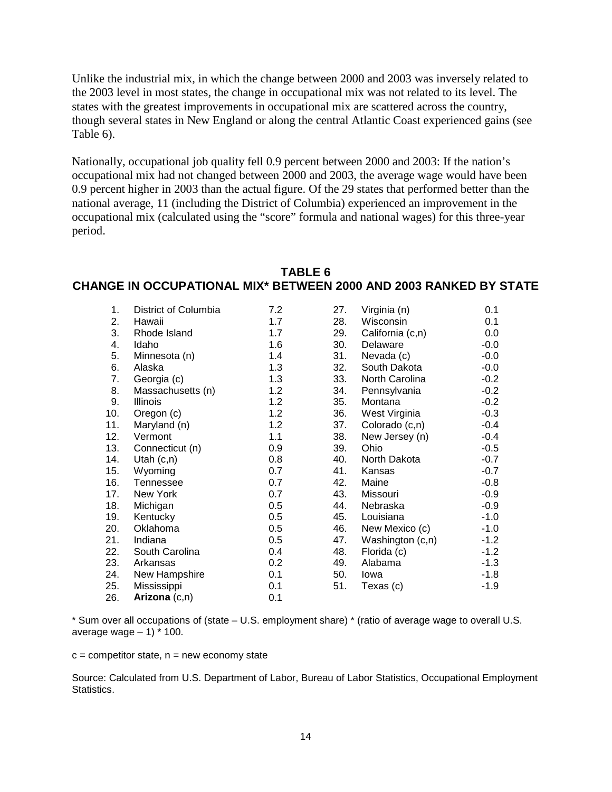Unlike the industrial mix, in which the change between 2000 and 2003 was inversely related to the 2003 level in most states, the change in occupational mix was not related to its level. The states with the greatest improvements in occupational mix are scattered across the country, though several states in New England or along the central Atlantic Coast experienced gains (see Table 6).

Nationally, occupational job quality fell 0.9 percent between 2000 and 2003: If the nation's occupational mix had not changed between 2000 and 2003, the average wage would have been 0.9 percent higher in 2003 than the actual figure. Of the 29 states that performed better than the national average, 11 (including the District of Columbia) experienced an improvement in the occupational mix (calculated using the "score" formula and national wages) for this three-year period.

# **TABLE 6 CHANGE IN OCCUPATIONAL MIX\* BETWEEN 2000 AND 2003 RANKED BY STATE**

| 1.  | District of Columbia | 7.2 | 27. | Virginia (n)     | 0.1    |
|-----|----------------------|-----|-----|------------------|--------|
| 2.  | Hawaii               | 1.7 | 28. | Wisconsin        | 0.1    |
| 3.  | Rhode Island         | 1.7 | 29. | California (c,n) | 0.0    |
| 4.  | Idaho                | 1.6 | 30. | Delaware         | $-0.0$ |
| 5.  | Minnesota (n)        | 1.4 | 31. | Nevada (c)       | $-0.0$ |
| 6.  | Alaska               | 1.3 | 32. | South Dakota     | $-0.0$ |
| 7.  | Georgia (c)          | 1.3 | 33. | North Carolina   | $-0.2$ |
| 8.  | Massachusetts (n)    | 1.2 | 34. | Pennsylvania     | $-0.2$ |
| 9.  | Illinois             | 1.2 | 35. | Montana          | $-0.2$ |
| 10. | Oregon (c)           | 1.2 | 36. | West Virginia    | $-0.3$ |
| 11. | Maryland (n)         | 1.2 | 37. | Colorado (c,n)   | $-0.4$ |
| 12. | Vermont              | 1.1 | 38. | New Jersey (n)   | $-0.4$ |
| 13. | Connecticut (n)      | 0.9 | 39. | Ohio             | $-0.5$ |
| 14. | Utah $(c, n)$        | 0.8 | 40. | North Dakota     | $-0.7$ |
| 15. | Wyoming              | 0.7 | 41. | Kansas           | $-0.7$ |
| 16. | <b>Tennessee</b>     | 0.7 | 42. | Maine            | $-0.8$ |
| 17. | New York             | 0.7 | 43. | Missouri         | $-0.9$ |
| 18. | Michigan             | 0.5 | 44. | Nebraska         | $-0.9$ |
| 19. | Kentucky             | 0.5 | 45. | Louisiana        | $-1.0$ |
| 20. | Oklahoma             | 0.5 | 46. | New Mexico (c)   | $-1.0$ |
| 21. | Indiana              | 0.5 | 47. | Washington (c,n) | $-1.2$ |
| 22. | South Carolina       | 0.4 | 48. | Florida (c)      | $-1.2$ |
| 23. | Arkansas             | 0.2 | 49. | Alabama          | $-1.3$ |
| 24. | New Hampshire        | 0.1 | 50. | Iowa             | $-1.8$ |
| 25. | Mississippi          | 0.1 | 51. | Texas (c)        | $-1.9$ |
| 26. | Arizona $(c,n)$      | 0.1 |     |                  |        |

\* Sum over all occupations of (state – U.S. employment share) \* (ratio of average wage to overall U.S. average wage  $-1$ )  $*$  100.

 $c =$  competitor state,  $n =$  new economy state

Source: Calculated from U.S. Department of Labor, Bureau of Labor Statistics, Occupational Employment Statistics.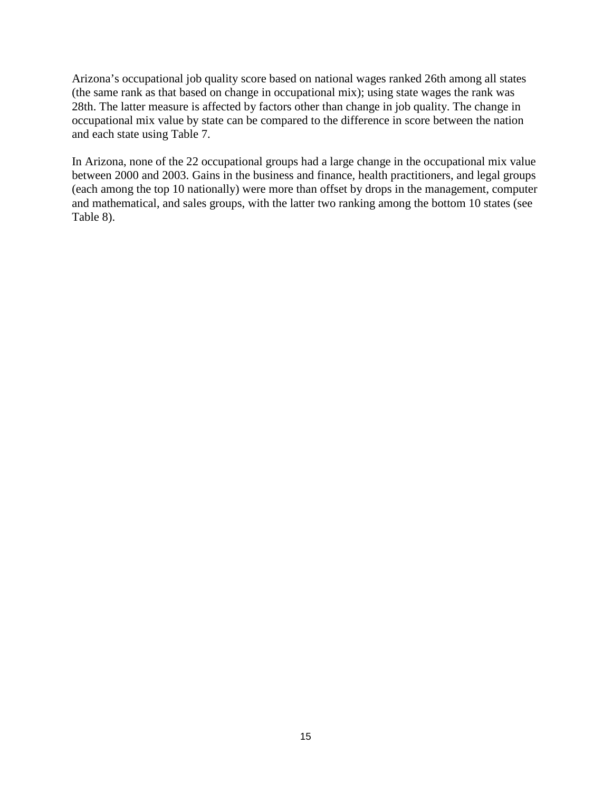Arizona's occupational job quality score based on national wages ranked 26th among all states (the same rank as that based on change in occupational mix); using state wages the rank was 28th. The latter measure is affected by factors other than change in job quality. The change in occupational mix value by state can be compared to the difference in score between the nation and each state using Table 7.

In Arizona, none of the 22 occupational groups had a large change in the occupational mix value between 2000 and 2003. Gains in the business and finance, health practitioners, and legal groups (each among the top 10 nationally) were more than offset by drops in the management, computer and mathematical, and sales groups, with the latter two ranking among the bottom 10 states (see Table 8).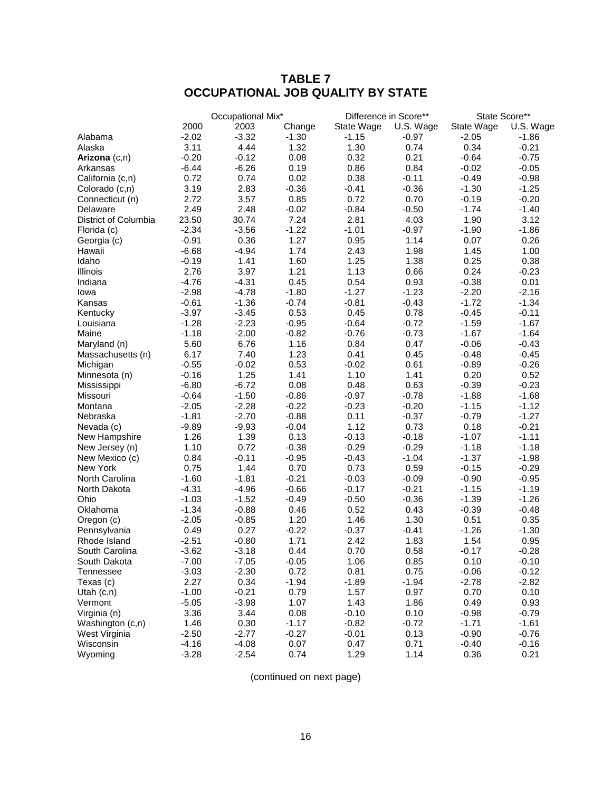# **TABLE 7 OCCUPATIONAL JOB QUALITY BY STATE**

|                      |         | Occupational Mix* |         |            | Difference in Score** |            | State Score** |
|----------------------|---------|-------------------|---------|------------|-----------------------|------------|---------------|
|                      | 2000    | 2003              | Change  | State Wage | U.S. Wage             | State Wage | U.S. Wage     |
| Alabama              | $-2.02$ | $-3.32$           | $-1.30$ | $-1.15$    | $-0.97$               | $-2.05$    | $-1.86$       |
| Alaska               | 3.11    | 4.44              | 1.32    | 1.30       | 0.74                  | 0.34       | $-0.21$       |
| Arizona (c,n)        | $-0.20$ | $-0.12$           | 0.08    | 0.32       | 0.21                  | $-0.64$    | $-0.75$       |
| Arkansas             | $-6.44$ | $-6.26$           | 0.19    | 0.86       | 0.84                  | $-0.02$    | $-0.05$       |
| California (c,n)     | 0.72    | 0.74              | 0.02    | 0.38       | $-0.11$               | $-0.49$    | $-0.98$       |
| Colorado (c,n)       | 3.19    | 2.83              | $-0.36$ | $-0.41$    | $-0.36$               | $-1.30$    | $-1.25$       |
| Connecticut (n)      | 2.72    | 3.57              | 0.85    | 0.72       | 0.70                  | $-0.19$    | $-0.20$       |
| Delaware             | 2.49    | 2.48              | $-0.02$ | $-0.84$    | $-0.50$               | $-1.74$    | $-1.40$       |
| District of Columbia | 23.50   | 30.74             | 7.24    | 2.81       | 4.03                  | 1.90       | 3.12          |
| Florida (c)          | $-2.34$ | $-3.56$           | $-1.22$ | $-1.01$    | $-0.97$               | $-1.90$    | $-1.86$       |
| Georgia (c)          | $-0.91$ | 0.36              | 1.27    | 0.95       | 1.14                  | 0.07       | 0.26          |
| Hawaii               | $-6.68$ | $-4.94$           | 1.74    | 2.43       | 1.98                  | 1.45       | 1.00          |
| Idaho                | $-0.19$ | 1.41              | 1.60    | 1.25       | 1.38                  | 0.25       | 0.38          |
| Illinois             | 2.76    | 3.97              | 1.21    | 1.13       | 0.66                  | 0.24       | $-0.23$       |
| Indiana              | $-4.76$ | $-4.31$           | 0.45    | 0.54       | 0.93                  | $-0.38$    | 0.01          |
| Iowa                 | $-2.98$ | $-4.78$           | $-1.80$ | $-1.27$    | $-1.23$               | $-2.20$    | $-2.16$       |
| Kansas               | $-0.61$ | $-1.36$           | $-0.74$ | $-0.81$    | $-0.43$               | $-1.72$    | $-1.34$       |
| Kentucky             | $-3.97$ | $-3.45$           | 0.53    | 0.45       | 0.78                  | $-0.45$    | $-0.11$       |
| Louisiana            | $-1.28$ | $-2.23$           | $-0.95$ | $-0.64$    | $-0.72$               | $-1.59$    | $-1.67$       |
| Maine                | $-1.18$ | $-2.00$           | $-0.82$ | $-0.76$    | $-0.73$               | $-1.67$    | $-1.64$       |
| Maryland (n)         | 5.60    | 6.76              | 1.16    | 0.84       | 0.47                  | $-0.06$    | $-0.43$       |
| Massachusetts (n)    | 6.17    | 7.40              | 1.23    | 0.41       | 0.45                  | $-0.48$    | $-0.45$       |
| Michigan             | $-0.55$ | $-0.02$           | 0.53    | $-0.02$    | 0.61                  | $-0.89$    | $-0.26$       |
| Minnesota (n)        | $-0.16$ | 1.25              | 1.41    | 1.10       | 1.41                  | 0.20       | 0.52          |
| Mississippi          | $-6.80$ | $-6.72$           | 0.08    | 0.48       | 0.63                  | $-0.39$    | $-0.23$       |
| Missouri             | $-0.64$ | $-1.50$           | $-0.86$ | $-0.97$    | $-0.78$               | $-1.88$    | $-1.68$       |
| Montana              | $-2.05$ | $-2.28$           | $-0.22$ | $-0.23$    | $-0.20$               | $-1.15$    | $-1.12$       |
| Nebraska             | $-1.81$ | $-2.70$           | $-0.88$ | 0.11       | $-0.37$               | $-0.79$    | $-1.27$       |
| Nevada (c)           | $-9.89$ | $-9.93$           | $-0.04$ | 1.12       | 0.73                  | 0.18       | $-0.21$       |
| New Hampshire        | 1.26    | 1.39              | 0.13    | $-0.13$    | $-0.18$               | $-1.07$    | $-1.11$       |
| New Jersey (n)       | 1.10    | 0.72              | $-0.38$ | $-0.29$    | $-0.29$               | $-1.18$    | $-1.18$       |
| New Mexico (c)       | 0.84    | $-0.11$           | $-0.95$ | $-0.43$    | $-1.04$               | $-1.37$    | $-1.98$       |
| <b>New York</b>      | 0.75    | 1.44              | 0.70    | 0.73       | 0.59                  | $-0.15$    | $-0.29$       |
| North Carolina       | $-1.60$ | $-1.81$           | $-0.21$ | $-0.03$    | $-0.09$               | $-0.90$    | $-0.95$       |
| North Dakota         | $-4.31$ | $-4.96$           | $-0.66$ | $-0.17$    | $-0.21$               | $-1.15$    | $-1.19$       |
| Ohio                 | $-1.03$ | $-1.52$           | $-0.49$ | $-0.50$    | $-0.36$               | $-1.39$    | $-1.26$       |
| Oklahoma             | $-1.34$ | $-0.88$           | 0.46    | 0.52       | 0.43                  | $-0.39$    | $-0.48$       |
| Oregon (c)           | $-2.05$ | $-0.85$           | 1.20    | 1.46       | 1.30                  | 0.51       | 0.35          |
| Pennsylvania         | 0.49    | 0.27              | $-0.22$ | $-0.37$    | $-0.41$               | $-1.26$    | $-1.30$       |
| Rhode Island         | $-2.51$ | $-0.80$           | 1.71    | 2.42       | 1.83                  | 1.54       | 0.95          |
| South Carolina       | $-3.62$ | $-3.18$           | 0.44    | 0.70       | 0.58                  | $-0.17$    | $-0.28$       |
| South Dakota         | $-7.00$ | $-7.05$           | $-0.05$ | 1.06       | 0.85                  | 0.10       | $-0.10$       |
| Tennessee            | $-3.03$ | $-2.30$           | 0.72    | 0.81       | 0.75                  | $-0.06$    | $-0.12$       |
| Texas (c)            | 2.27    | 0.34              | $-1.94$ | $-1.89$    | $-1.94$               | $-2.78$    | $-2.82$       |
| Utah $(c, n)$        | $-1.00$ | $-0.21$           | 0.79    | 1.57       | 0.97                  | 0.70       | 0.10          |
| Vermont              | $-5.05$ | $-3.98$           | 1.07    | 1.43       | 1.86                  | 0.49       | 0.93          |
| Virginia (n)         | 3.36    | 3.44              | 0.08    | $-0.10$    | 0.10                  | $-0.98$    | $-0.79$       |
| Washington (c,n)     | 1.46    | 0.30              | $-1.17$ | $-0.82$    | $-0.72$               | $-1.71$    | $-1.61$       |
| West Virginia        | $-2.50$ | $-2.77$           | $-0.27$ | $-0.01$    | 0.13                  | $-0.90$    | $-0.76$       |
| Wisconsin            | $-4.16$ | $-4.08$           | 0.07    | 0.47       | 0.71                  | $-0.40$    | $-0.16$       |
| Wyoming              | $-3.28$ | $-2.54$           | 0.74    | 1.29       | 1.14                  | 0.36       | 0.21          |

(continued on next page)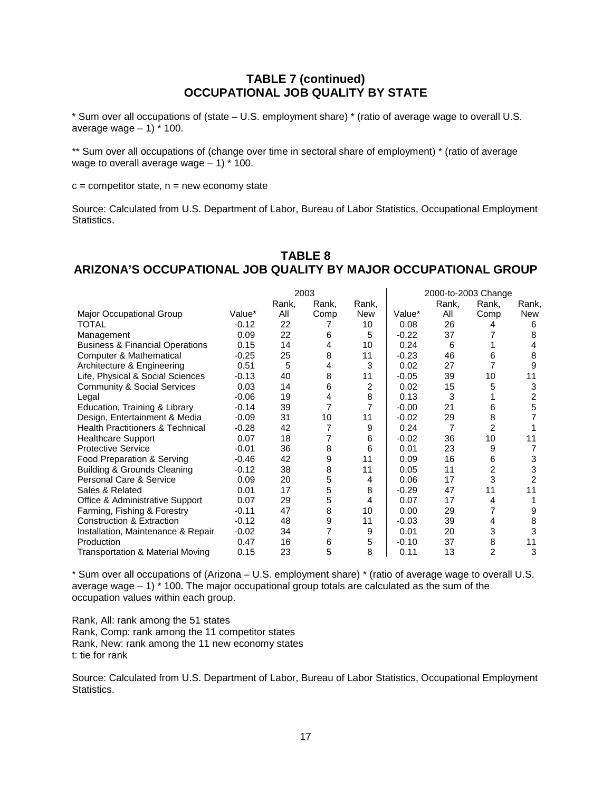#### **TABLE 7 (continued) OCCUPATIONAL JOB QUALITY BY STATE**

\* Sum over all occupations of (state – U.S. employment share) \* (ratio of average wage to overall U.S. average wage  $-1$ )  $*$  100.

\*\* Sum over all occupations of (change over time in sectoral share of employment) \* (ratio of average wage to overall average wage  $-1$ )  $*$  100.

 $c =$  competitor state,  $n =$  new economy state

Source: Calculated from U.S. Department of Labor, Bureau of Labor Statistics, Occupational Employment Statistics.

#### **TABLE 8 ARIZONA'S OCCUPATIONAL JOB QUALITY BY MAJOR OCCUPATIONAL GROUP**

|                                             | 2003    |       |       |            |         |       | 2000-to-2003 Change |            |
|---------------------------------------------|---------|-------|-------|------------|---------|-------|---------------------|------------|
|                                             |         | Rank, | Rank, | Rank,      |         | Rank, | Rank,               | Rank,      |
| Major Occupational Group                    | Value*  | All   | Comp  | <b>New</b> | Value*  | All   | Comp                | <b>New</b> |
| TOTAL                                       | $-0.12$ | 22    |       | 10         | 0.08    | 26    | 4                   | 6          |
| Management                                  | 0.09    | 22    | 6     | 5          | $-0.22$ | 37    |                     | 8          |
| <b>Business &amp; Financial Operations</b>  | 0.15    | 14    | 4     | 10         | 0.24    | 6     |                     | 4          |
| Computer & Mathematical                     | $-0.25$ | 25    | 8     | 11         | $-0.23$ | 46    | 6                   | 8          |
| Architecture & Engineering                  | 0.51    | 5     | 4     | 3          | 0.02    | 27    |                     | 9          |
| Life, Physical & Social Sciences            | $-0.13$ | 40    | 8     | 11         | $-0.05$ | 39    | 10                  | 11         |
| Community & Social Services                 | 0.03    | 14    | 6     | 2          | 0.02    | 15    | 5                   | 3          |
| Legal                                       | $-0.06$ | 19    | 4     | 8          | 0.13    | 3     |                     | 2          |
| Education, Training & Library               | $-0.14$ | 39    | 7     | 7          | $-0.00$ | 21    | 6                   | 5          |
| Design, Entertainment & Media               | $-0.09$ | 31    | 10    | 11         | $-0.02$ | 29    | 8                   |            |
| <b>Health Practitioners &amp; Technical</b> | $-0.28$ | 42    | 7     | 9          | 0.24    | 7     | $\overline{c}$      |            |
| <b>Healthcare Support</b>                   | 0.07    | 18    |       | 6          | $-0.02$ | 36    | 10                  | 11         |
| <b>Protective Service</b>                   | $-0.01$ | 36    | 8     | 6          | 0.01    | 23    | 9                   |            |
| Food Preparation & Serving                  | $-0.46$ | 42    | 9     | 11         | 0.09    | 16    | 6                   | 3          |
| <b>Building &amp; Grounds Cleaning</b>      | $-0.12$ | 38    | 8     | 11         | 0.05    | 11    | 2                   | 3          |
| Personal Care & Service                     | 0.09    | 20    | 5     | 4          | 0.06    | 17    | 3                   | 2          |
| Sales & Related                             | 0.01    | 17    | 5     | 8          | $-0.29$ | 47    | 11                  | 11         |
| Office & Administrative Support             | 0.07    | 29    | 5     | 4          | 0.07    | 17    | 4                   |            |
| Farming, Fishing & Forestry                 | $-0.11$ | 47    | 8     | 10         | 0.00    | 29    |                     | 9          |
| <b>Construction &amp; Extraction</b>        | $-0.12$ | 48    | 9     | 11         | $-0.03$ | 39    | 4                   | 8          |
| Installation, Maintenance & Repair          | $-0.02$ | 34    | 7     | 9          | 0.01    | 20    | 3                   | 3          |
| Production                                  | 0.47    | 16    | 6     | 5          | $-0.10$ | 37    | 8                   | 11         |
| Transportation & Material Moving            | 0.15    | 23    | 5     | 8          | 0.11    | 13    | 2                   | 3          |

\* Sum over all occupations of (Arizona – U.S. employment share) \* (ratio of average wage to overall U.S. average wage  $-1$ )  $*$  100. The major occupational group totals are calculated as the sum of the occupation values within each group.

Rank, All: rank among the 51 states Rank, Comp: rank among the 11 competitor states Rank, New: rank among the 11 new economy states t: tie for rank

Source: Calculated from U.S. Department of Labor, Bureau of Labor Statistics, Occupational Employment Statistics.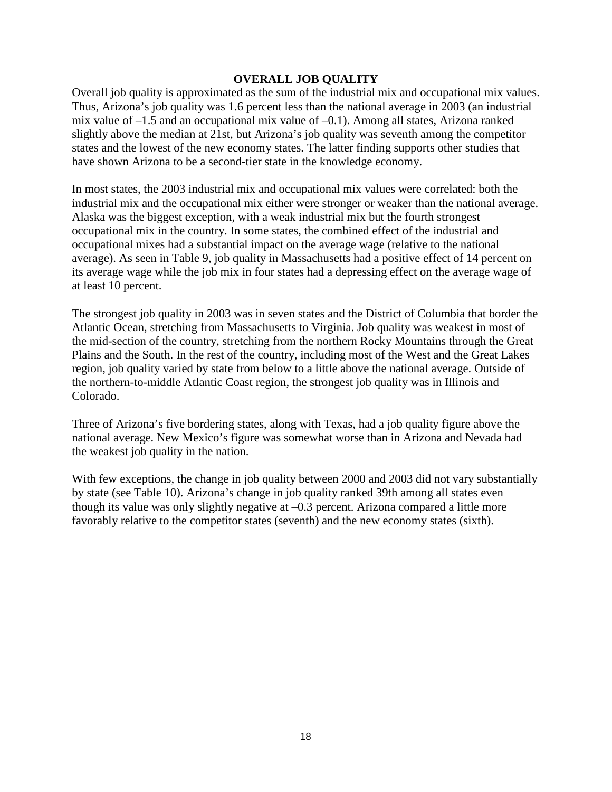#### **OVERALL JOB QUALITY**

Overall job quality is approximated as the sum of the industrial mix and occupational mix values. Thus, Arizona's job quality was 1.6 percent less than the national average in 2003 (an industrial mix value of  $-1.5$  and an occupational mix value of  $-0.1$ ). Among all states, Arizona ranked slightly above the median at 21st, but Arizona's job quality was seventh among the competitor states and the lowest of the new economy states. The latter finding supports other studies that have shown Arizona to be a second-tier state in the knowledge economy.

In most states, the 2003 industrial mix and occupational mix values were correlated: both the industrial mix and the occupational mix either were stronger or weaker than the national average. Alaska was the biggest exception, with a weak industrial mix but the fourth strongest occupational mix in the country. In some states, the combined effect of the industrial and occupational mixes had a substantial impact on the average wage (relative to the national average). As seen in Table 9, job quality in Massachusetts had a positive effect of 14 percent on its average wage while the job mix in four states had a depressing effect on the average wage of at least 10 percent.

The strongest job quality in 2003 was in seven states and the District of Columbia that border the Atlantic Ocean, stretching from Massachusetts to Virginia. Job quality was weakest in most of the mid-section of the country, stretching from the northern Rocky Mountains through the Great Plains and the South. In the rest of the country, including most of the West and the Great Lakes region, job quality varied by state from below to a little above the national average. Outside of the northern-to-middle Atlantic Coast region, the strongest job quality was in Illinois and Colorado.

Three of Arizona's five bordering states, along with Texas, had a job quality figure above the national average. New Mexico's figure was somewhat worse than in Arizona and Nevada had the weakest job quality in the nation.

With few exceptions, the change in job quality between 2000 and 2003 did not vary substantially by state (see Table 10). Arizona's change in job quality ranked 39th among all states even though its value was only slightly negative at –0.3 percent. Arizona compared a little more favorably relative to the competitor states (seventh) and the new economy states (sixth).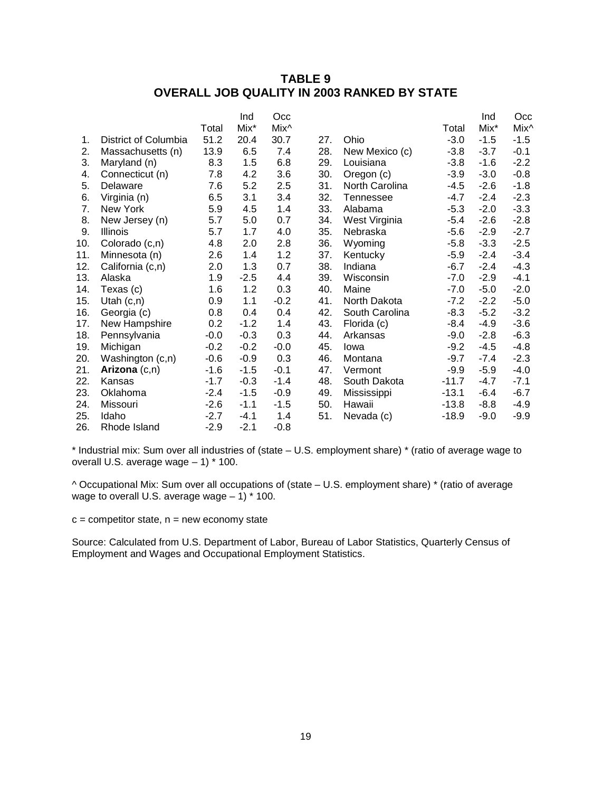## **TABLE 9 OVERALL JOB QUALITY IN 2003 RANKED BY STATE**

|     |                      |        | Ind    | Occ              |     |                |         | Ind    | Occ    |
|-----|----------------------|--------|--------|------------------|-----|----------------|---------|--------|--------|
|     |                      | Total  | Mix*   | Mix <sup>^</sup> |     |                | Total   | Mix*   | Mix^   |
| 1.  | District of Columbia | 51.2   | 20.4   | 30.7             | 27. | Ohio           | $-3.0$  | $-1.5$ | $-1.5$ |
| 2.  | Massachusetts (n)    | 13.9   | 6.5    | 7.4              | 28. | New Mexico (c) | $-3.8$  | $-3.7$ | $-0.1$ |
| 3.  | Maryland (n)         | 8.3    | 1.5    | 6.8              | 29. | Louisiana      | $-3.8$  | $-1.6$ | $-2.2$ |
| 4.  | Connecticut (n)      | 7.8    | 4.2    | 3.6              | 30. | Oregon (c)     | $-3.9$  | $-3.0$ | $-0.8$ |
| 5.  | Delaware             | 7.6    | 5.2    | 2.5              | 31. | North Carolina | $-4.5$  | $-2.6$ | $-1.8$ |
| 6.  | Virginia (n)         | 6.5    | 3.1    | 3.4              | 32. | Tennessee      | $-4.7$  | $-2.4$ | $-2.3$ |
| 7.  | New York             | 5.9    | 4.5    | 1.4              | 33. | Alabama        | $-5.3$  | $-2.0$ | $-3.3$ |
| 8.  | New Jersey (n)       | 5.7    | 5.0    | 0.7              | 34. | West Virginia  | $-5.4$  | $-2.6$ | $-2.8$ |
| 9.  | <b>Illinois</b>      | 5.7    | 1.7    | 4.0              | 35. | Nebraska       | $-5.6$  | $-2.9$ | $-2.7$ |
| 10. | Colorado (c,n)       | 4.8    | 2.0    | 2.8              | 36. | Wyoming        | $-5.8$  | $-3.3$ | $-2.5$ |
| 11. | Minnesota (n)        | 2.6    | 1.4    | 1.2              | 37. | Kentucky       | $-5.9$  | $-2.4$ | $-3.4$ |
| 12. | California (c,n)     | 2.0    | 1.3    | 0.7              | 38. | Indiana        | $-6.7$  | $-2.4$ | $-4.3$ |
| 13. | Alaska               | 1.9    | $-2.5$ | 4.4              | 39. | Wisconsin      | $-7.0$  | $-2.9$ | $-4.1$ |
| 14. | Texas (c)            | 1.6    | 1.2    | 0.3              | 40. | Maine          | $-7.0$  | $-5.0$ | $-2.0$ |
| 15. | Utah $(c, n)$        | 0.9    | 1.1    | $-0.2$           | 41. | North Dakota   | $-7.2$  | $-2.2$ | $-5.0$ |
| 16. | Georgia (c)          | 0.8    | 0.4    | 0.4              | 42. | South Carolina | $-8.3$  | $-5.2$ | $-3.2$ |
| 17. | New Hampshire        | 0.2    | $-1.2$ | 1.4              | 43. | Florida (c)    | $-8.4$  | $-4.9$ | $-3.6$ |
| 18. | Pennsylvania         | $-0.0$ | $-0.3$ | 0.3              | 44. | Arkansas       | $-9.0$  | $-2.8$ | $-6.3$ |
| 19. | Michigan             | $-0.2$ | $-0.2$ | $-0.0$           | 45. | Iowa           | $-9.2$  | $-4.5$ | $-4.8$ |
| 20. | Washington (c,n)     | $-0.6$ | $-0.9$ | 0.3              | 46. | Montana        | $-9.7$  | $-7.4$ | $-2.3$ |
| 21. | Arizona $(c,n)$      | $-1.6$ | $-1.5$ | $-0.1$           | 47. | Vermont        | $-9.9$  | $-5.9$ | $-4.0$ |
| 22. | Kansas               | $-1.7$ | $-0.3$ | $-1.4$           | 48. | South Dakota   | $-11.7$ | $-4.7$ | $-7.1$ |
| 23. | Oklahoma             | $-2.4$ | $-1.5$ | $-0.9$           | 49. | Mississippi    | $-13.1$ | $-6.4$ | $-6.7$ |
| 24. | Missouri             | $-2.6$ | $-1.1$ | $-1.5$           | 50. | Hawaii         | $-13.8$ | $-8.8$ | -4.9   |
| 25. | Idaho                | $-2.7$ | $-4.1$ | 1.4              | 51. | Nevada (c)     | $-18.9$ | $-9.0$ | $-9.9$ |
| 26. | Rhode Island         | $-2.9$ | $-2.1$ | $-0.8$           |     |                |         |        |        |

\* Industrial mix: Sum over all industries of (state – U.S. employment share) \* (ratio of average wage to overall U.S. average wage – 1) \* 100.

^ Occupational Mix: Sum over all occupations of (state – U.S. employment share) \* (ratio of average wage to overall U.S. average wage  $-1$ ) \* 100.

 $c =$  competitor state,  $n =$  new economy state

Source: Calculated from U.S. Department of Labor, Bureau of Labor Statistics, Quarterly Census of Employment and Wages and Occupational Employment Statistics.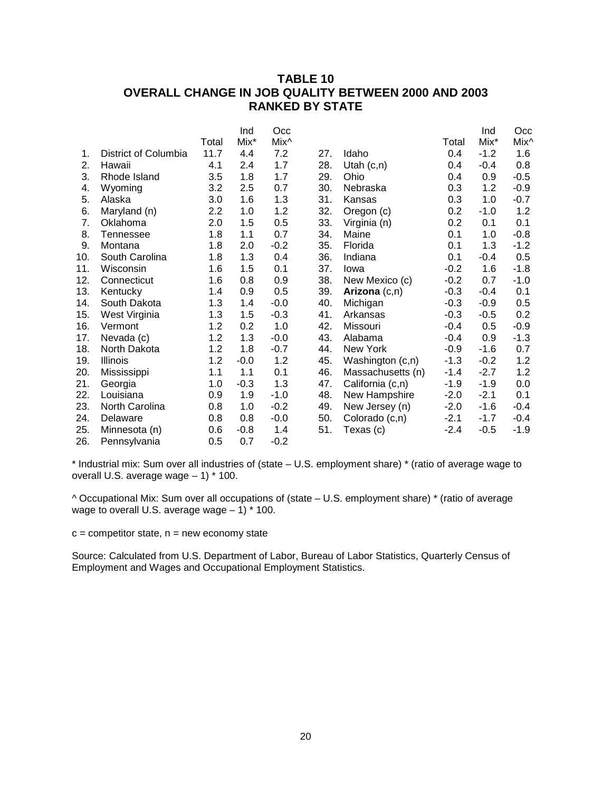## **TABLE 10 OVERALL CHANGE IN JOB QUALITY BETWEEN 2000 AND 2003 RANKED BY STATE**

|     |                      |       | Ind    | Occ              |     |                   |        | Ind    | Occ    |
|-----|----------------------|-------|--------|------------------|-----|-------------------|--------|--------|--------|
|     |                      | Total | Mix*   | Mix <sup>^</sup> |     |                   | Total  | Mix*   | Mix^   |
| 1.  | District of Columbia | 11.7  | 4.4    | 7.2              | 27. | Idaho             | 0.4    | $-1.2$ | 1.6    |
| 2.  | Hawaii               | 4.1   | 2.4    | 1.7              | 28. | Utah $(c, n)$     | 0.4    | $-0.4$ | 0.8    |
| 3.  | Rhode Island         | 3.5   | 1.8    | 1.7              | 29. | Ohio              | 0.4    | 0.9    | $-0.5$ |
| 4.  | Wyoming              | 3.2   | 2.5    | 0.7              | 30. | Nebraska          | 0.3    | 1.2    | $-0.9$ |
| 5.  | Alaska               | 3.0   | 1.6    | 1.3              | 31. | Kansas            | 0.3    | 1.0    | $-0.7$ |
| 6.  | Maryland (n)         | 2.2   | 1.0    | 1.2              | 32. | Oregon (c)        | 0.2    | $-1.0$ | 1.2    |
| 7.  | Oklahoma             | 2.0   | 1.5    | 0.5              | 33. | Virginia (n)      | 0.2    | 0.1    | 0.1    |
| 8.  | <b>Tennessee</b>     | 1.8   | 1.1    | 0.7              | 34. | Maine             | 0.1    | 1.0    | $-0.8$ |
| 9.  | Montana              | 1.8   | 2.0    | $-0.2$           | 35. | Florida           | 0.1    | 1.3    | $-1.2$ |
| 10. | South Carolina       | 1.8   | 1.3    | 0.4              | 36. | Indiana           | 0.1    | $-0.4$ | 0.5    |
| 11. | Wisconsin            | 1.6   | 1.5    | 0.1              | 37. | lowa              | $-0.2$ | 1.6    | $-1.8$ |
| 12. | Connecticut          | 1.6   | 0.8    | 0.9              | 38. | New Mexico (c)    | $-0.2$ | 0.7    | $-1.0$ |
| 13. | Kentucky             | 1.4   | 0.9    | 0.5              | 39. | Arizona $(c,n)$   | $-0.3$ | $-0.4$ | 0.1    |
| 14. | South Dakota         | 1.3   | 1.4    | $-0.0$           | 40. | Michigan          | $-0.3$ | $-0.9$ | 0.5    |
| 15. | West Virginia        | 1.3   | 1.5    | $-0.3$           | 41. | Arkansas          | $-0.3$ | $-0.5$ | 0.2    |
| 16. | Vermont              | 1.2   | 0.2    | 1.0              | 42. | Missouri          | $-0.4$ | 0.5    | $-0.9$ |
| 17. | Nevada (c)           | 1.2   | 1.3    | $-0.0$           | 43. | Alabama           | $-0.4$ | 0.9    | $-1.3$ |
| 18. | North Dakota         | 1.2   | 1.8    | $-0.7$           | 44. | New York          | $-0.9$ | $-1.6$ | 0.7    |
| 19. | <b>Illinois</b>      | 1.2   | $-0.0$ | 1.2              | 45. | Washington (c,n)  | $-1.3$ | $-0.2$ | 1.2    |
| 20. | Mississippi          | 1.1   | 1.1    | 0.1              | 46. | Massachusetts (n) | $-1.4$ | $-2.7$ | 1.2    |
| 21. | Georgia              | 1.0   | $-0.3$ | 1.3              | 47. | California (c,n)  | $-1.9$ | $-1.9$ | 0.0    |
| 22. | Louisiana            | 0.9   | 1.9    | $-1.0$           | 48. | New Hampshire     | $-2.0$ | $-2.1$ | 0.1    |
| 23. | North Carolina       | 0.8   | 1.0    | $-0.2$           | 49. | New Jersey (n)    | $-2.0$ | $-1.6$ | $-0.4$ |
| 24. | Delaware             | 0.8   | 0.8    | $-0.0$           | 50. | Colorado (c,n)    | $-2.1$ | $-1.7$ | $-0.4$ |
| 25. | Minnesota (n)        | 0.6   | $-0.8$ | 1.4              | 51. | Texas (c)         | $-2.4$ | $-0.5$ | $-1.9$ |
| 26. | Pennsylvania         | 0.5   | 0.7    | $-0.2$           |     |                   |        |        |        |

\* Industrial mix: Sum over all industries of (state – U.S. employment share) \* (ratio of average wage to overall U.S. average wage – 1) \* 100.

^ Occupational Mix: Sum over all occupations of (state – U.S. employment share) \* (ratio of average wage to overall U.S. average wage  $-1$ )  $*$  100.

 $c =$  competitor state,  $n =$  new economy state

Source: Calculated from U.S. Department of Labor, Bureau of Labor Statistics, Quarterly Census of Employment and Wages and Occupational Employment Statistics.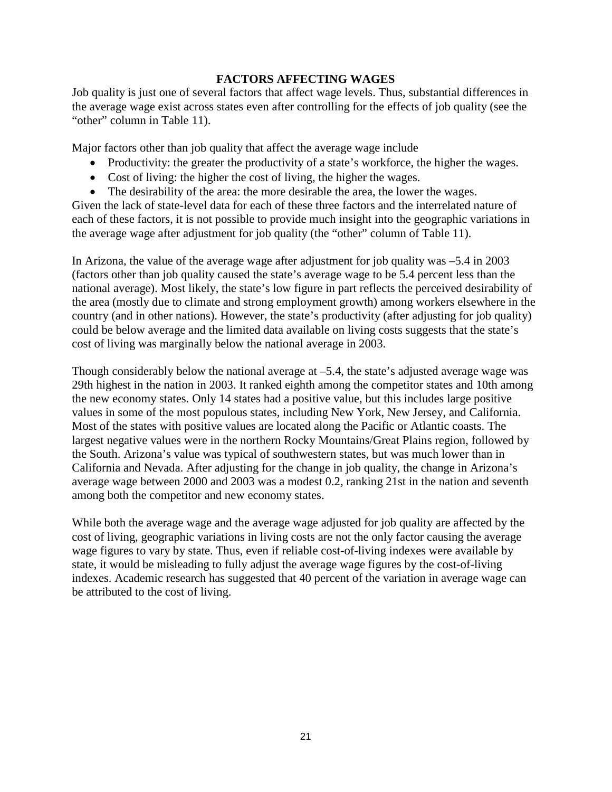#### **FACTORS AFFECTING WAGES**

Job quality is just one of several factors that affect wage levels. Thus, substantial differences in the average wage exist across states even after controlling for the effects of job quality (see the "other" column in Table 11).

Major factors other than job quality that affect the average wage include

- Productivity: the greater the productivity of a state's workforce, the higher the wages.
- Cost of living: the higher the cost of living, the higher the wages.
- The desirability of the area: the more desirable the area, the lower the wages.

Given the lack of state-level data for each of these three factors and the interrelated nature of each of these factors, it is not possible to provide much insight into the geographic variations in the average wage after adjustment for job quality (the "other" column of Table 11).

In Arizona, the value of the average wage after adjustment for job quality was –5.4 in 2003 (factors other than job quality caused the state's average wage to be 5.4 percent less than the national average). Most likely, the state's low figure in part reflects the perceived desirability of the area (mostly due to climate and strong employment growth) among workers elsewhere in the country (and in other nations). However, the state's productivity (after adjusting for job quality) could be below average and the limited data available on living costs suggests that the state's cost of living was marginally below the national average in 2003.

Though considerably below the national average at –5.4, the state's adjusted average wage was 29th highest in the nation in 2003. It ranked eighth among the competitor states and 10th among the new economy states. Only 14 states had a positive value, but this includes large positive values in some of the most populous states, including New York, New Jersey, and California. Most of the states with positive values are located along the Pacific or Atlantic coasts. The largest negative values were in the northern Rocky Mountains/Great Plains region, followed by the South. Arizona's value was typical of southwestern states, but was much lower than in California and Nevada. After adjusting for the change in job quality, the change in Arizona's average wage between 2000 and 2003 was a modest 0.2, ranking 21st in the nation and seventh among both the competitor and new economy states.

While both the average wage and the average wage adjusted for job quality are affected by the cost of living, geographic variations in living costs are not the only factor causing the average wage figures to vary by state. Thus, even if reliable cost-of-living indexes were available by state, it would be misleading to fully adjust the average wage figures by the cost-of-living indexes. Academic research has suggested that 40 percent of the variation in average wage can be attributed to the cost of living.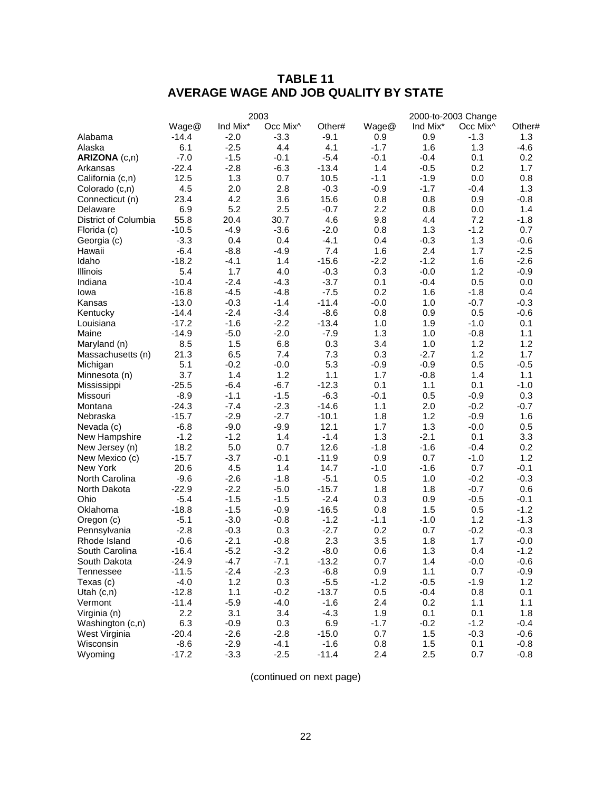# **TABLE 11 AVERAGE WAGE AND JOB QUALITY BY STATE**

|                      | 2003    |          |          |         | 2000-to-2003 Change |          |                      |        |
|----------------------|---------|----------|----------|---------|---------------------|----------|----------------------|--------|
|                      | Wage@   | Ind Mix* | Occ Mix^ | Other#  | Wage@               | Ind Mix* | Occ Mix <sup>^</sup> | Other# |
| Alabama              | $-14.4$ | $-2.0$   | $-3.3$   | $-9.1$  | 0.9                 | 0.9      | $-1.3$               | 1.3    |
| Alaska               | 6.1     | $-2.5$   | 4.4      | 4.1     | $-1.7$              | 1.6      | 1.3                  | $-4.6$ |
| ARIZONA (c,n)        | $-7.0$  | $-1.5$   | $-0.1$   | $-5.4$  | $-0.1$              | $-0.4$   | 0.1                  | 0.2    |
| Arkansas             | $-22.4$ | $-2.8$   | $-6.3$   | $-13.4$ | 1.4                 | $-0.5$   | 0.2                  | 1.7    |
| California (c,n)     | 12.5    | 1.3      | 0.7      | 10.5    | $-1.1$              | $-1.9$   | 0.0                  | 0.8    |
| Colorado (c,n)       | 4.5     | 2.0      | 2.8      | $-0.3$  | $-0.9$              | $-1.7$   | $-0.4$               | 1.3    |
| Connecticut (n)      | 23.4    | 4.2      | 3.6      | 15.6    | 0.8                 | 0.8      | 0.9                  | $-0.8$ |
| Delaware             | 6.9     | 5.2      | 2.5      | $-0.7$  | 2.2                 | 0.8      | 0.0                  | 1.4    |
| District of Columbia | 55.8    | 20.4     | 30.7     | 4.6     | 9.8                 | 4.4      | 7.2                  | $-1.8$ |
| Florida (c)          | $-10.5$ | $-4.9$   | $-3.6$   | $-2.0$  | 0.8                 | 1.3      | $-1.2$               | 0.7    |
| Georgia (c)          | $-3.3$  | 0.4      | 0.4      | $-4.1$  | 0.4                 | $-0.3$   | 1.3                  | $-0.6$ |
| Hawaii               | $-6.4$  | $-8.8$   | $-4.9$   | 7.4     | 1.6                 | 2.4      | 1.7                  | $-2.5$ |
| Idaho                | $-18.2$ | $-4.1$   | 1.4      | $-15.6$ | $-2.2$              | $-1.2$   | 1.6                  | $-2.6$ |
| Illinois             | 5.4     | 1.7      | 4.0      | $-0.3$  | 0.3                 | $-0.0$   | 1.2                  | $-0.9$ |
| Indiana              | $-10.4$ | $-2.4$   | $-4.3$   | $-3.7$  | 0.1                 | $-0.4$   | 0.5                  | 0.0    |
| Iowa                 | $-16.8$ | $-4.5$   | $-4.8$   | $-7.5$  | 0.2                 | 1.6      | $-1.8$               | 0.4    |
| Kansas               | $-13.0$ | $-0.3$   | $-1.4$   | $-11.4$ | $-0.0$              | 1.0      | $-0.7$               | $-0.3$ |
| Kentucky             | $-14.4$ | $-2.4$   | $-3.4$   | $-8.6$  | 0.8                 | 0.9      | 0.5                  | $-0.6$ |
| Louisiana            | $-17.2$ | $-1.6$   | $-2.2$   | $-13.4$ | 1.0                 | 1.9      | $-1.0$               | 0.1    |
| Maine                | $-14.9$ | $-5.0$   | $-2.0$   | $-7.9$  | 1.3                 | 1.0      | $-0.8$               | 1.1    |
| Maryland (n)         | 8.5     | 1.5      | 6.8      | 0.3     | 3.4                 | 1.0      | 1.2                  | 1.2    |
| Massachusetts (n)    | 21.3    | 6.5      | 7.4      | 7.3     | 0.3                 | $-2.7$   | 1.2                  | 1.7    |
| Michigan             | 5.1     | $-0.2$   | $-0.0$   | 5.3     | $-0.9$              | $-0.9$   | 0.5                  | $-0.5$ |
| Minnesota (n)        | 3.7     | 1.4      | 1.2      | 1.1     | 1.7                 | $-0.8$   | 1.4                  | 1.1    |
| Mississippi          | $-25.5$ | $-6.4$   | $-6.7$   | $-12.3$ | 0.1                 | 1.1      | 0.1                  | $-1.0$ |
| Missouri             | $-8.9$  | $-1.1$   | $-1.5$   | $-6.3$  | $-0.1$              | 0.5      | $-0.9$               | 0.3    |
| Montana              | $-24.3$ | $-7.4$   | $-2.3$   | $-14.6$ | 1.1                 | 2.0      | $-0.2$               | $-0.7$ |
| Nebraska             | $-15.7$ | $-2.9$   | $-2.7$   | $-10.1$ | 1.8                 | 1.2      | $-0.9$               | 1.6    |
| Nevada (c)           | $-6.8$  | $-9.0$   | $-9.9$   | 12.1    | 1.7                 | 1.3      | $-0.0$               | 0.5    |
| New Hampshire        | $-1.2$  | $-1.2$   | 1.4      | $-1.4$  | 1.3                 | $-2.1$   | 0.1                  | 3.3    |
| New Jersey (n)       | 18.2    | 5.0      | 0.7      | 12.6    | $-1.8$              | $-1.6$   | $-0.4$               | 0.2    |
| New Mexico (c)       | $-15.7$ | $-3.7$   | $-0.1$   | $-11.9$ | 0.9                 | 0.7      | $-1.0$               | 1.2    |
| New York             | 20.6    | 4.5      | 1.4      | 14.7    | $-1.0$              | $-1.6$   | 0.7                  | $-0.1$ |
| North Carolina       | $-9.6$  | $-2.6$   | $-1.8$   | $-5.1$  | 0.5                 | 1.0      | $-0.2$               | $-0.3$ |
| North Dakota         | $-22.9$ | $-2.2$   | $-5.0$   | $-15.7$ | 1.8                 | 1.8      | $-0.7$               | 0.6    |
| Ohio                 | $-5.4$  | $-1.5$   | $-1.5$   | $-2.4$  | 0.3                 | 0.9      | $-0.5$               | $-0.1$ |
| Oklahoma             | $-18.8$ | $-1.5$   | $-0.9$   | $-16.5$ | 0.8                 | 1.5      | 0.5                  | $-1.2$ |
| Oregon (c)           | $-5.1$  | $-3.0$   | $-0.8$   | $-1.2$  | $-1.1$              | $-1.0$   | 1.2                  | $-1.3$ |
| Pennsylvania         | $-2.8$  | $-0.3$   | 0.3      | $-2.7$  | 0.2                 | 0.7      | $-0.2$               | $-0.3$ |
| Rhode Island         | $-0.6$  | $-2.1$   | $-0.8$   | 2.3     | 3.5                 | 1.8      | 1.7                  | $-0.0$ |
| South Carolina       | $-16.4$ | $-5.2$   | $-3.2$   | $-8.0$  | 0.6                 | 1.3      | 0.4                  | $-1.2$ |
| South Dakota         | $-24.9$ | $-4.7$   | $-7.1$   | $-13.2$ | 0.7                 | 1.4      | $-0.0$               | $-0.6$ |
| Tennessee            | $-11.5$ | $-2.4$   | $-2.3$   | $-6.8$  | 0.9                 | 1.1      | 0.7                  | $-0.9$ |
| Texas (c)            | $-4.0$  | 1.2      | 0.3      | $-5.5$  | $-1.2$              | $-0.5$   | $-1.9$               | 1.2    |
| Utah $(c,n)$         | $-12.8$ | 1.1      | $-0.2$   | $-13.7$ | 0.5                 | $-0.4$   | 0.8                  | 0.1    |
| Vermont              | $-11.4$ | $-5.9$   | $-4.0$   | $-1.6$  | 2.4                 | 0.2      | 1.1                  | 1.1    |
| Virginia (n)         | 2.2     | 3.1      | 3.4      | $-4.3$  | 1.9                 | 0.1      | 0.1                  | 1.8    |
| Washington (c,n)     | 6.3     | $-0.9$   | 0.3      | 6.9     | $-1.7$              | $-0.2$   | $-1.2$               | $-0.4$ |
| West Virginia        | $-20.4$ | $-2.6$   | $-2.8$   | $-15.0$ | 0.7                 | 1.5      | $-0.3$               | $-0.6$ |
| Wisconsin            | $-8.6$  | $-2.9$   | $-4.1$   | $-1.6$  | 0.8                 | 1.5      | 0.1                  | $-0.8$ |
| Wyoming              | $-17.2$ | $-3.3$   | $-2.5$   | $-11.4$ | 2.4                 | 2.5      | 0.7                  | $-0.8$ |

(continued on next page)